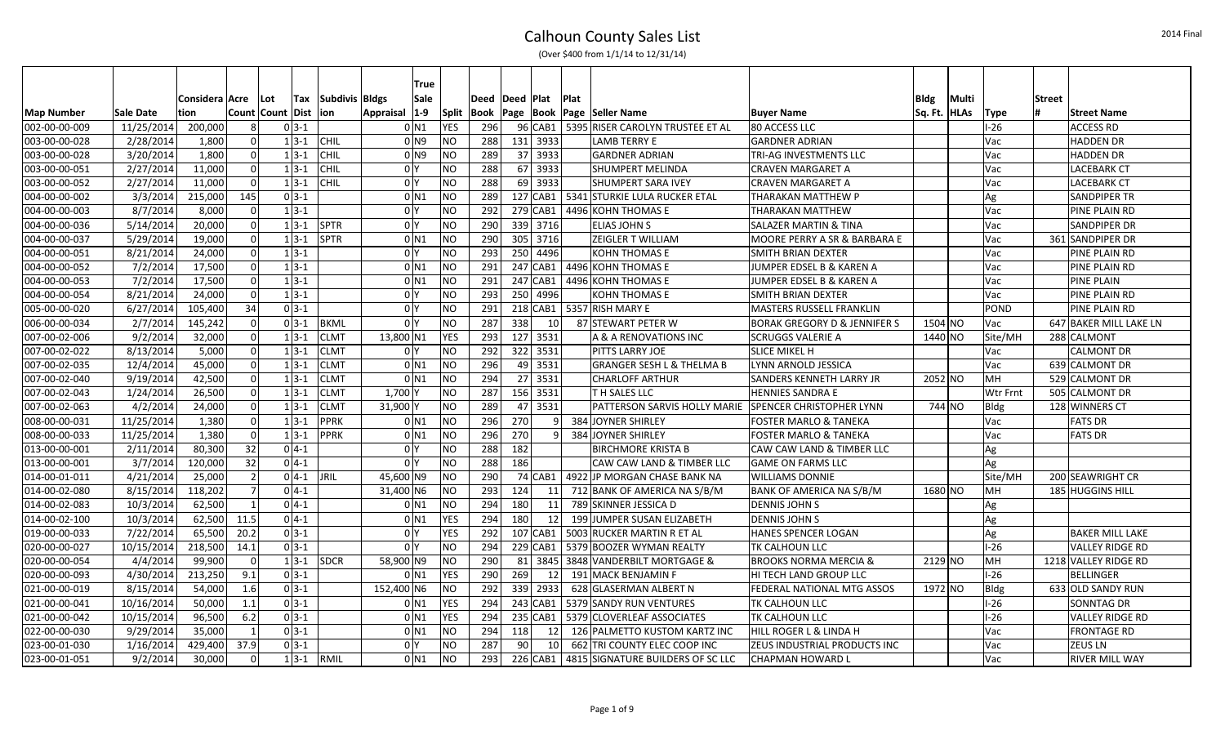|  | (Over \$400 from 1/1/14 to 12/31/14) |
|--|--------------------------------------|
|--|--------------------------------------|

|                   |            |                  |                |                  |                           | True               |              |                |                 |            |             |                                            |                                         |              |        |             |               |                        |
|-------------------|------------|------------------|----------------|------------------|---------------------------|--------------------|--------------|----------------|-----------------|------------|-------------|--------------------------------------------|-----------------------------------------|--------------|--------|-------------|---------------|------------------------|
|                   |            | Considera   Acre |                | <b>Lot</b>       | <b>Tax</b> Subdivis Bldgs | Sale               |              | Deed Deed Plat |                 |            | <b>Plat</b> |                                            |                                         | Bldg         | Multi  |             | <b>Street</b> |                        |
| <b>Map Number</b> | Sale Date  | tion             |                | Count Count Dist | lion                      | Appraisal  1-9     | <b>Split</b> |                |                 |            |             | Book   Page   Book   Page   Seller Name    | <b>Buyer Name</b>                       | Sq. Ft. HLAs |        | <b>Type</b> |               | Street Name            |
| 002-00-00-009     | 11/25/2014 | 200,000          |                | $0 3-1$          |                           | 0 N1               | YES          | 296            |                 |            |             | 96 CAB1   5395 RISER CAROLYN TRUSTEE ET AL | 80 ACCESS LLC                           |              |        | $-26$       |               | <b>ACCESS RD</b>       |
| 003-00-00-028     | 2/28/2014  | 1,800            | $\Omega$       | $1 3-1 $         | <b>CHIL</b>               | 0 <sub>N9</sub>    | <b>NO</b>    | 288            |                 | 131 3933   |             | LAMB TERRY E                               | <b>GARDNER ADRIAN</b>                   |              |        | Vac         |               | HADDEN DR              |
| 003-00-00-028     | 3/20/2014  | 1,800            | $\Omega$       | $1 3-1$          | <b>CHIL</b>               | 0 <sub>N9</sub>    | <b>NO</b>    | 289            |                 | 37 3933    |             | <b>GARDNER ADRIAN</b>                      | <b>TRI-AG INVESTMENTS LLC</b>           |              |        | Vac         |               | <b>HADDEN DR</b>       |
| 003-00-00-051     | 2/27/2014  | 11,000           | $\mathbf 0$    | $1 3-1$          | CHIL                      | 0 <sup>Y</sup>     | <b>NO</b>    | 288            |                 | 67 3933    |             | <b>SHUMPERT MELINDA</b>                    | <b>CRAVEN MARGARET A</b>                |              |        | Vac         |               | <b>LACEBARK CT</b>     |
| 003-00-00-052     | 2/27/2014  | 11,000           | $\Omega$       | $1 3-1$          | <b>CHIL</b>               | 0 <sup>Y</sup>     | <b>NO</b>    | 288            |                 | 69 3933    |             | <b>SHUMPERT SARA IVEY</b>                  | <b>CRAVEN MARGARET A</b>                |              |        | Vac         |               | <b>LACEBARK CT</b>     |
| 004-00-00-002     | 3/3/2014   | 215,000<br>145   |                | $0 3-1$          |                           | $0$ <sub>N1</sub>  | <b>NO</b>    | 289            |                 | 127 CAB1   |             | 5341 STURKIE LULA RUCKER ETAL              | THARAKAN MATTHEW P                      |              |        | Ag          |               | <b>SANDPIPER TR</b>    |
| 004-00-00-003     | 8/7/2014   | 8,000            | - 0            | $1 3-1$          |                           | 0 <sup>1</sup>     | <b>NO</b>    | 292            |                 | 279 CAB1   |             | 4496 KOHN THOMAS E                         | THARAKAN MATTHEW                        |              |        | Vac         |               | PINE PLAIN RD          |
| 004-00-00-036     | 5/14/2014  | 20,000           | $\mathbf 0$    | $1 3-1$          | SPTR                      | 0 <sup>Y</sup>     | <b>NO</b>    | 290            |                 | 339 3716   |             | <b>ELIAS JOHN S</b>                        | <b>SALAZER MARTIN &amp; TINA</b>        |              |        | Vac         |               | SANDPIPER DR           |
| 004-00-00-037     | 5/29/2014  | 19,000           | $\Omega$       | $1 3-1 $         | SPTR                      | $0$ N <sub>1</sub> | <b>NO</b>    | 290            |                 | 305 3716   |             | ZEIGLER T WILLIAM                          | MOORE PERRY A SR & BARBARA E            |              |        | Vac         |               | 361 SANDPIPER DR       |
| 004-00-00-051     | 8/21/2014  | 24,000           | $\Omega$       | $1 3-1$          |                           | 0 <sup>1</sup>     | <b>NO</b>    | 293            |                 | 250 4496   |             | <b>KOHN THOMAS E</b>                       | SMITH BRIAN DEXTER                      |              |        | Vac         |               | PINE PLAIN RD          |
| 004-00-00-052     | 7/2/2014   | 17,500           | $\Omega$       | $1 3-1$          |                           | $0$ N1             | <b>NO</b>    | 291            |                 | 247 CAB1   |             | 4496 KOHN THOMAS E                         | JUMPER EDSEL B & KAREN A                |              |        | Vac         |               | PINE PLAIN RD          |
| 004-00-00-053     | 7/2/2014   | 17,500           | $\mathbf 0$    | $1 3-1$          |                           | $0$ <sub>N1</sub>  | <b>NO</b>    | 291            |                 | 247 CAB1   |             | 4496 KOHN THOMAS E                         | JUMPER EDSEL B & KAREN A                |              |        | Vac         |               | <b>PINE PLAIN</b>      |
| 004-00-00-054     | 8/21/2014  | 24,000           | $\Omega$       | $1 3-1$          |                           | 0 <sup>Y</sup>     | <b>NO</b>    | 293            |                 | 250 4996   |             | <b>KOHN THOMAS E</b>                       | SMITH BRIAN DEXTER                      |              |        | Vac         |               | PINE PLAIN RD          |
| 005-00-00-020     | 6/27/2014  | 105,400          | 34             | $0 3-1$          |                           | 0 Y                | <b>NO</b>    | 291            |                 |            |             | 218 CAB1   5357 RISH MARY E                | MASTERS RUSSELL FRANKLIN                |              |        | POND        |               | PINE PLAIN RD          |
| 006-00-00-034     | 2/7/2014   | 145,242          | $\Omega$       | $0 3-1$          | <b>BKML</b>               | 0 <sup>1</sup>     | <b>NO</b>    | 287            | 338             | 10         |             | 87 STEWART PETER W                         | <b>BORAK GREGORY D &amp; JENNIFER S</b> | 1504 NO      |        | Vac         |               | 647 BAKER MILL LAKE LN |
| 007-00-02-006     | 9/2/2014   | 32,000           | $\Omega$       | $1 3-1$          | <b>CLMT</b>               | 13,800 N1          | <b>YES</b>   | 293            |                 | 127 3531   |             | A & A RENOVATIONS INC                      | <b>SCRUGGS VALERIE A</b>                | 1440 NO      |        | Site/MH     |               | 288 CALMONT            |
| 007-00-02-022     | 8/13/2014  | 5,000            | $\Omega$       | $1 3-1$          | <b>CLMT</b>               | 0 Y                | NO           | 292            |                 | 322 3531   |             | PITTS LARRY JOE                            | <b>SLICE MIKEL H</b>                    |              |        | Vac         |               | <b>CALMONT DR</b>      |
| 007-00-02-035     | 12/4/2014  | 45,000           | $\mathbf 0$    | $1 3-1$          | <b>CLMT</b>               | $0$ N1             | <b>NO</b>    | 296            |                 | 49 3531    |             | <b>GRANGER SESH L &amp; THELMA B</b>       | LYNN ARNOLD JESSICA                     |              |        | Vac         |               | 639 CALMONT DR         |
| 007-00-02-040     | 9/19/2014  | 42,500           | $\Omega$       | $1 3-1$          | <b>CLMT</b>               | 0 <sub>N1</sub>    | <b>NO</b>    | 294            |                 | 27 3531    |             | <b>CHARLOFF ARTHUR</b>                     | SANDERS KENNETH LARRY JR                | 2052 NO      |        | MH          |               | 529 CALMONT DR         |
| 007-00-02-043     | 1/24/2014  | 26,500           | $\Omega$       | $1 3-1$          | <b>CLMT</b>               | 1,700 Y            | <b>NO</b>    | 287            |                 | 156 3531   |             | <b>TH SALES LLC</b>                        | <b>HENNIES SANDRA E</b>                 |              |        | Wtr Frnt    |               | 505 CALMONT DR         |
| 007-00-02-063     | 4/2/2014   | 24,000           | $\Omega$       | $1 3-1$          | <b>CLMT</b>               | 31,900 Y           | <b>NO</b>    | 289            |                 | 47 3531    |             | PATTERSON SARVIS HOLLY MARIE               | SPENCER CHRISTOPHER LYNN                |              | 744 NO | Bldg        |               | 128 WINNERS CT         |
| 008-00-00-031     | 11/25/2014 | 1,380            | $\mathbf 0$    | $1 3-1$          | PPRK                      | 0 <sub>N1</sub>    | <b>NO</b>    | 296            | 270             | $\vert$    |             | 384 JOYNER SHIRLEY                         | FOSTER MARLO & TANEKA                   |              |        | Vac         |               | <b>FATS DR</b>         |
| 008-00-00-033     | 11/25/2014 | 1,380            | $\Omega$       | $1 3-1$          | PPRK                      | 0 N1               | <b>NO</b>    | 296            | 270             | 9          |             | 384 JOYNER SHIRLEY                         | <b>FOSTER MARLO &amp; TANEKA</b>        |              |        | Vac         |               | <b>FATS DR</b>         |
| 013-00-00-001     | 2/11/2014  | 80,300           | 32             | $0 4-1$          |                           | 0 Y                | <b>NO</b>    | 288            | 182             |            |             | <b>BIRCHMORE KRISTA B</b>                  | CAW CAW LAND & TIMBER LLC               |              |        | Ag          |               |                        |
| 013-00-00-001     | 3/7/2014   | 120,000          | 32             | $0 4-1$          |                           | 0 <sup>1</sup>     | <b>NO</b>    | 288            | 186             |            |             | CAW CAW LAND & TIMBER LLC                  | <b>GAME ON FARMS LLC</b>                |              |        | Ag          |               |                        |
| 014-00-01-011     | 4/21/2014  | 25,000           | $\overline{2}$ | $0 4-1$          | <b>JRIL</b>               | 45,600 N9          | <b>NO</b>    | 290            |                 | 74 CAB1    |             | 4922 JP MORGAN CHASE BANK NA               | <b>WILLIAMS DONNIE</b>                  |              |        | Site/MH     |               | 200 SEAWRIGHT CR       |
| 014-00-02-080     | 8/15/2014  | 118,202          | -7             | $0 4-1$          |                           | 31,400 N6          | <b>NO</b>    | 293            | 124             | 11         |             | 712 BANK OF AMERICA NA S/B/M               | BANK OF AMERICA NA S/B/M                | 1680 NO      |        | MH.         |               | 185 HUGGINS HILL       |
| 014-00-02-083     | 10/3/2014  | 62,500           | $\overline{1}$ | $0 4-1$          |                           | $0$ N1             | <b>NO</b>    | 294            | 180             | 11         |             | 789 SKINNER JESSICA D                      | <b>DENNIS JOHN S</b>                    |              |        | Ag          |               |                        |
| 014-00-02-100     | 10/3/2014  | 62,500<br>11.5   |                | $0 4-1$          |                           | $0$ N <sub>1</sub> | <b>YES</b>   | 294            | 180             | 12         |             | 199 JUMPER SUSAN ELIZABETH                 | <b>DENNIS JOHN S</b>                    |              |        | Ag          |               |                        |
| 019-00-00-033     | 7/22/2014  | 65,500<br>20.2   |                | $0 3-1$          |                           | 0 Y                | <b>YES</b>   | 292            |                 | 107 CAB1   |             | 5003 RUCKER MARTIN R ET AL                 | <b>HANES SPENCER LOGAN</b>              |              |        | Ag          |               | <b>BAKER MILL LAKE</b> |
| 020-00-00-027     | 10/15/2014 | 218,500<br>14.1  |                | $0 3-1$          |                           | 0 Y                | <b>NO</b>    | 294            |                 | $229$ CAB1 |             | 5379 BOOZER WYMAN REALTY                   | <b>TK CALHOUN LLC</b>                   |              |        | $I-26$      |               | <b>VALLEY RIDGE RD</b> |
| 020-00-00-054     | 4/4/2014   | 99,900           | $\Omega$       | $1 3-1 $         | SDCR                      | 58,900 N9          | <b>NO</b>    | 290            | -81             | 3845       |             | 3848 VANDERBILT MORTGAGE &                 | <b>BROOKS NORMA MERCIA &amp;</b>        | 2129 NO      |        | MH          |               | 1218 VALLEY RIDGE RD   |
| 020-00-00-093     | 4/30/2014  | 213,250<br>9.1   |                | $0 3-1$          |                           | $0$ N <sub>1</sub> | YES          | 290            | 269             | 12         |             | 191 MACK BENJAMIN F                        | HI TECH LAND GROUP LLC                  |              |        | $I-26$      |               | <b>BELLINGER</b>       |
| 021-00-00-019     | 8/15/2014  | 54,000<br>1.6    |                | $0 3-1$          |                           | 152,400 N6         | NO           | 292            |                 | 339 2933   |             | 628 GLASERMAN ALBERT N                     | FEDERAL NATIONAL MTG ASSOS              | 1972 NO      |        | Bldg        |               | 633 OLD SANDY RUN      |
| 021-00-00-041     | 10/16/2014 | 50,000<br>1.1    |                | $0 3-1$          |                           | 0 <sub>N1</sub>    | <b>YES</b>   | 294            |                 | 243 CAB1   |             | 5379 SANDY RUN VENTURES                    | <b>TK CALHOUN LLC</b>                   |              |        | $I-26$      |               | <b>SONNTAG DR</b>      |
| 021-00-00-042     | 10/15/2014 | 96,500<br>6.2    |                | $0 3-1$          |                           | $0$ N1             | <b>YES</b>   | 294            |                 | $235$ CAB1 |             | 5379 CLOVERLEAF ASSOCIATES                 | <b>TK CALHOUN LLC</b>                   |              |        | $I-26$      |               | <b>VALLEY RIDGE RD</b> |
| 022-00-00-030     | 9/29/2014  | 35,000           | $\mathbf{1}$   | $0 3-1$          |                           | $0$ N <sub>1</sub> | <b>NO</b>    | 294            | 118             | 12         |             | 126 PALMETTO KUSTOM KARTZ INC              | <b>HILL ROGER L &amp; LINDA H</b>       |              |        | Vac         |               | <b>FRONTAGE RD</b>     |
| 023-00-01-030     | 1/16/2014  | 429,400<br>37.9  |                | $0 3-1$          |                           | 0 Y                | <b>NO</b>    | 287            | 90 <sub>1</sub> | 10         |             | 662 TRI COUNTY ELEC COOP INC               | ZEUS INDUSTRIAL PRODUCTS INC            |              |        | Vac         |               | <b>ZEUS LN</b>         |
| 023-00-01-051     | 9/2/2014   | 30,000           | $\Omega$       | $1 3-1 $         | RMIL                      | 0 <sub>N1</sub>    | <b>NO</b>    | 293            |                 | 226 CAB1   |             | 4815 SIGNATURE BUILDERS OF SC LLC          | <b>CHAPMAN HOWARD L</b>                 |              |        | Vac         |               | <b>RIVER MILL WAY</b>  |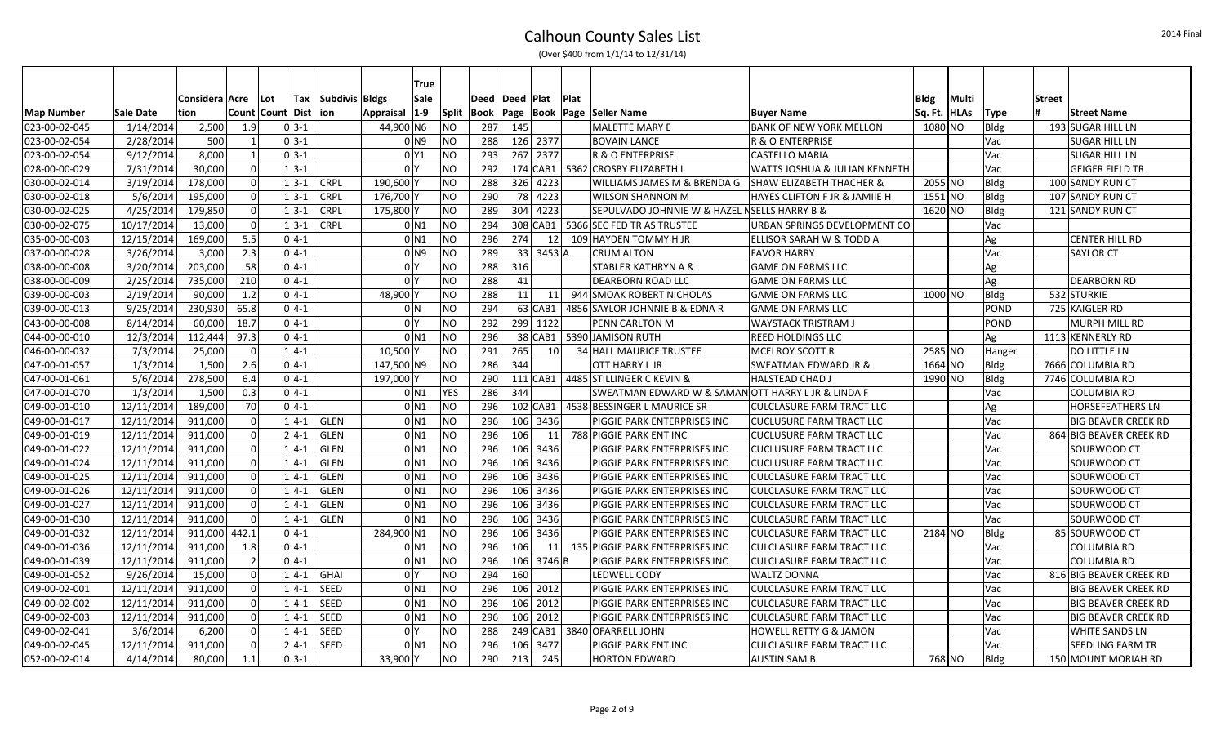|  | (Over \$400 from 1/1/14 to 12/31/14) |
|--|--------------------------------------|
|--|--------------------------------------|

|                   |                  |                |                         |                  |              |                |            | True                |              |                |     |                 |              |                                                    |                                     |              |       |             |               |                            |
|-------------------|------------------|----------------|-------------------------|------------------|--------------|----------------|------------|---------------------|--------------|----------------|-----|-----------------|--------------|----------------------------------------------------|-------------------------------------|--------------|-------|-------------|---------------|----------------------------|
|                   |                  | Considera Acre |                         | <b>Lot</b>       | <b>Tax</b>   | Subdivis Bldgs |            | Sale                |              | Deed Deed Plat |     |                 | <b>IPlat</b> |                                                    |                                     | Bldg         | Multi |             | <b>Street</b> |                            |
| <b>Map Number</b> | <b>Sale Date</b> | tion           |                         | Count Count Dist |              | lion           | Appraisal  | $ 1-9 $             | <b>Split</b> | Book           |     |                 |              | Page   Book   Page   Seller Name                   | <b>Buyer Name</b>                   | Sq. Ft. HLAs |       | <b>Type</b> |               | Street Name                |
| 023-00-02-045     | 1/14/2014        | 2,500          | 1.9                     |                  | $0 3-1$      |                | 44,900 N6  |                     | NΟ           | 287            | 145 |                 |              | MALETTE MARY E                                     | <b>BANK OF NEW YORK MELLON</b>      | 1080 NO      |       | <b>Bldg</b> |               | 193 SUGAR HILL LN          |
| 023-00-02-054     | 2/28/2014        | 500            | $\overline{1}$          |                  | $0 \, 3 - 1$ |                |            | 0 <sub>N9</sub>     | ΝO           | 288            |     | 126 2377        |              | <b>BOVAIN LANCE</b>                                | R & O ENTERPRISE                    |              |       | Vac         |               | <b>SUGAR HILL LN</b>       |
| 023-00-02-054     | 9/12/2014        | 8,000          | $\mathbf{1}$            |                  | $0 3-1$      |                |            | 0 <sup>1</sup>      | <b>NO</b>    | 293            |     | 267 2377        |              | <b>R &amp; O ENTERPRISE</b>                        | <b>CASTELLO MARIA</b>               |              |       | Vac         |               | <b>SUGAR HILL LN</b>       |
| 028-00-00-029     | 7/31/2014        | 30,000         | $\overline{0}$          |                  | $1 3-1$      |                |            | 0 <sup>Y</sup>      | <b>NO</b>    | 292            |     | $174$ CAB1      |              | 5362 CROSBY ELIZABETH L                            | WATTS JOSHUA & JULIAN KENNETH       |              |       | Vac         |               | <b>GEIGER FIELD TR</b>     |
| 030-00-02-014     | 3/19/2014        | 178,000        | $\overline{0}$          |                  | $1 3-1$      | <b>CRPL</b>    | 190,600 Y  |                     | NΟ           | 288            |     | 326 4223        |              | WILLIAMS JAMES M & BRENDA G                        | <b>SHAW ELIZABETH THACHER &amp;</b> | 2055 NO      |       | Bldg        |               | 100 SANDY RUN CT           |
| 030-00-02-018     | 5/6/2014         | 195,000        | $\overline{0}$          |                  | $1 3-1$      | CRPL           | 176,700 Y  |                     | NΟ           | 290            | 78  | 4223            |              | <b>WILSON SHANNON M</b>                            | HAYES CLIFTON F JR & JAMIIE H       | 1551 NO      |       | Bldg        |               | 107 SANDY RUN CT           |
| 030-00-02-025     | 4/25/2014        | 179,850        | $\overline{0}$          |                  | $1 3-1$      | <b>CRPL</b>    | 175,800 Y  |                     | NΟ           | 289            | 304 | 4223            |              | SEPULVADO JOHNNIE W & HAZEL NSELLS HARRY B &       |                                     | 1620 NO      |       | Bldg        |               | 121 SANDY RUN CT           |
| 030-00-02-075     | 10/17/2014       | 13,000         | $\overline{0}$          |                  | $1 3-1$      | <b>CRPL</b>    |            | $0$ N1              | <b>NO</b>    | 294            |     | 308 CAB1        |              | 5366 SEC FED TR AS TRUSTEE                         | URBAN SPRINGS DEVELOPMENT CO        |              |       | Vac         |               |                            |
| 035-00-00-003     | 12/15/2014       | 169,000        | 5.5                     |                  | $0 4-1$      |                |            | $0$ <sub>N1</sub>   | <b>NO</b>    | 296            | 274 | 12              |              | 109 HAYDEN TOMMY H JR                              | ELLISOR SARAH W & TODD A            |              |       | Ag          |               | <b>CENTER HILL RD</b>      |
| 037-00-00-028     | 3/26/2014        | 3,000          | 2.3                     |                  | $0 4-1$      |                |            | $01$ N <sub>9</sub> | NΟ           | 289            |     | 33 3453 A       |              | <b>CRUM ALTON</b>                                  | <b>FAVOR HARRY</b>                  |              |       | Vac         |               | <b>SAYLOR CT</b>           |
| 038-00-00-008     | 3/20/2014        | 203,000        | 58                      |                  | $0 4-1$      |                |            | 0 <sup>Y</sup>      | <b>NO</b>    | 288            | 316 |                 |              | STABLER KATHRYN A &                                | <b>GAME ON FARMS LLC</b>            |              |       | Ag          |               |                            |
| 038-00-00-009     | 2/25/2014        | 735,000        | 210                     |                  | $0 4-1$      |                |            | 0 <sup>1</sup>      | NO           | 288            | 41  |                 |              | DEARBORN ROAD LLC                                  | <b>GAME ON FARMS LLC</b>            |              |       | Ag          |               | <b>DEARBORN RD</b>         |
| 039-00-00-003     | 2/19/2014        | 90,000         | 1.2                     |                  | $0 4-1$      |                | 48,900     |                     | NΟ           | 288            | 11  | 11              |              | 944 SMOAK ROBERT NICHOLAS                          | <b>GAME ON FARMS LLC</b>            | 1000 NO      |       | Bldg        |               | 532 STURKIE                |
| 039-00-00-013     | 9/25/2014        | 230,930        | 65.8                    |                  | $0 4-1$      |                |            | 0 N                 | <b>NO</b>    | 294            |     | 63 CAB1         |              | 4856 SAYLOR JOHNNIE B & EDNA R                     | <b>GAME ON FARMS LLC</b>            |              |       | <b>POND</b> |               | 725 KAIGLER RD             |
| 043-00-00-008     | 8/14/2014        | 60,000         | 18.7                    |                  | $0 4-1$      |                |            | 0 <sup>1</sup>      | NO           | 292            |     | 299 1122        |              | PENN CARLTON M                                     | WAYSTACK TRISTRAM J                 |              |       | <b>POND</b> |               | MURPH MILL RD              |
| 044-00-00-010     | 12/3/2014        | 112,444        | 97.3                    |                  | $0 4-1$      |                |            | $0$ <sub>N1</sub>   | <b>NO</b>    | 296            |     | 38 CAB1         |              | 5390 JAMISON RUTH                                  | <b>REED HOLDINGS LLC</b>            |              |       | Ag          |               | 1113 KENNERLY RD           |
| 046-00-00-032     | 7/3/2014         | 25,000         | $\overline{\mathbf{0}}$ |                  | $1 4-1$      |                | 10,500     |                     | NΟ           | 291            | 265 | 10 <sup>1</sup> |              | 34 HALL MAURICE TRUSTEE                            | <b>MCELROY SCOTT R</b>              | 2585 NO      |       | Hanger      |               | DO LITTLE LN               |
| 047-00-01-057     | 1/3/2014         | 1,500          | 2.6                     |                  | $0 4-1$      |                | 147,500 N9 |                     | NΟ           | 286            | 344 |                 |              | OTT HARRY L JR                                     | <b>SWEATMAN EDWARD JR &amp;</b>     | 1664 NO      |       | Bldg        |               | 7666 COLUMBIA RD           |
| 047-00-01-061     | 5/6/2014         | 278,500        | 6.4                     |                  | $0 4-1$      |                | 197,000 Y  |                     | NO           | 290            |     | $111$ CAB1      |              | 4485 STILLINGER C KEVIN &                          | <b>HALSTEAD CHAD J</b>              | 1990 NO      |       | Bldg        |               | 7746 COLUMBIA RD           |
| 047-00-01-070     | 1/3/2014         | 1,500          | 0.3                     |                  | $0 4-1$      |                |            | 0 N1                | <b>YES</b>   | 286            | 344 |                 |              | SWEATMAN EDWARD W & SAMAN OTT HARRY L JR & LINDA F |                                     |              |       | Vac         |               | <b>COLUMBIA RD</b>         |
| 049-00-01-010     | 12/11/2014       | 189,000        | 70                      |                  | $0 4-1$      |                |            | $0$ N <sub>1</sub>  | <b>NO</b>    | 296            |     | 102 CAB1        |              | 4538 BESSINGER L MAURICE SR                        | <b>CULCLASURE FARM TRACT LLC</b>    |              |       | Ag          |               | <b>HORSEFEATHERS LN</b>    |
| 049-00-01-017     | 12/11/2014       | 911,000        | $\overline{0}$          |                  | $1 4-1$      | GLEN           |            | $0$ N <sub>1</sub>  | <b>NO</b>    | 296            |     | 106 3436        |              | PIGGIE PARK ENTERPRISES INC                        | <b>CUCLUSURE FARM TRACT LLC</b>     |              |       | <b>Vac</b>  |               | <b>BIG BEAVER CREEK RD</b> |
| 049-00-01-019     | 12/11/2014       | 911,000        | $\overline{0}$          |                  | $2 4-1 $     | GLEN           |            | 0 N1                | <b>NO</b>    | 296            | 106 | 11              |              | 788 PIGGIE PARK ENT INC                            | <b>CUCLUSURE FARM TRACT LLC</b>     |              |       | Vac         |               | 864 BIG BEAVER CREEK RD    |
| 049-00-01-022     | 12/11/2014       | 911,000        | $\overline{0}$          |                  | $1 4-1$      | GLEN           |            | $0$ N1              | <b>NO</b>    | 296            | 106 | 3436            |              | PIGGIE PARK ENTERPRISES INC                        | <b>CUCLUSURE FARM TRACT LLC</b>     |              |       | Vac         |               | SOURWOOD CT                |
| 049-00-01-024     | 12/11/2014       | 911,000        | $\overline{0}$          |                  | $1 4-1$      | GLEN           |            | $0$ <sub>N1</sub>   | <b>NO</b>    | 296            | 106 | 3436            |              | PIGGIE PARK ENTERPRISES INC                        | <b>CUCLUSURE FARM TRACT LLC</b>     |              |       | <b>Vac</b>  |               | SOURWOOD CT                |
| 049-00-01-025     | 12/11/2014       | 911,000        | $\overline{0}$          |                  | $1 4-1$      | GLEN           |            | 0 N1                | <b>NO</b>    | 296            | 106 | 3436            |              | PIGGIE PARK ENTERPRISES INC                        | <b>CULCLASURE FARM TRACT LLC</b>    |              |       | <b>Vac</b>  |               | SOURWOOD CT                |
| 049-00-01-026     | 12/11/2014       | 911,000        | $\overline{0}$          |                  | $1 4-1$      | GLEN           |            | $0$ N <sub>1</sub>  | <b>NO</b>    | 296            | 106 | 3436            |              | PIGGIE PARK ENTERPRISES INC                        | <b>CULCLASURE FARM TRACT LLC</b>    |              |       | Vac         |               | SOURWOOD CT                |
| 049-00-01-027     | 12/11/2014       | 911,000        | $\overline{0}$          |                  | $1 4-1$      | GLEN           |            | $0$ N <sub>1</sub>  | <b>NO</b>    | 296            | 106 | 3436            |              | PIGGIE PARK ENTERPRISES INC                        | <b>CULCLASURE FARM TRACT LLC</b>    |              |       | Vac         |               | SOURWOOD CT                |
| 049-00-01-030     | 12/11/2014       | 911,000        | $\overline{0}$          |                  | $1 4-1$      | GLEN           |            | $0$ N <sub>1</sub>  | <b>NO</b>    | 296            | 106 | 3436            |              | PIGGIE PARK ENTERPRISES INC                        | <b>CULCLASURE FARM TRACT LLC</b>    |              |       | <b>Vac</b>  |               | SOURWOOD CT                |
| 049-00-01-032     | 12/11/2014       | 911,000 442.1  |                         |                  | $0 4-1$      |                | 284,900 N1 |                     | NΟ           | 296            | 106 | 3436            |              | PIGGIE PARK ENTERPRISES INC                        | <b>CULCLASURE FARM TRACT LLC</b>    | 2184 NO      |       | Bldg        |               | 85 SOURWOOD CT             |
| 049-00-01-036     | 12/11/2014       | 911,000        | 1.8                     |                  | $0 4-1$      |                |            | $0$ N <sub>1</sub>  | NO.          | 296            | 106 | <b>11</b>       |              | 135 PIGGIE PARK ENTERPRISES INC                    | CULCLASURE FARM TRACT LLC           |              |       | <b>Vac</b>  |               | <b>COLUMBIA RD</b>         |
| 049-00-01-039     | 12/11/2014       | 911,000        | $\overline{2}$          |                  | $0 4-1$      |                |            | $0$ <sub>N1</sub>   | <b>NO</b>    | 296            | 106 | 3746 B          |              | PIGGIE PARK ENTERPRISES INC                        | <b>CULCLASURE FARM TRACT LLC</b>    |              |       | Vac         |               | <b>COLUMBIA RD</b>         |
| 049-00-01-052     | 9/26/2014        | 15,000         | $\overline{0}$          |                  | $1 4-1$      | GHAI           |            | 0 <sup>1</sup>      | <b>NO</b>    | 294            | 160 |                 |              | LEDWELL CODY                                       | <b>WALTZ DONNA</b>                  |              |       | Vac         |               | 816 BIG BEAVER CREEK RD    |
| 049-00-02-001     | 12/11/2014       | 911,000        | $\overline{0}$          |                  | $1 4-1$      | SEED           |            | $0$ N1              | <b>NO</b>    | 296            |     | 106 2012        |              | PIGGIE PARK ENTERPRISES INC                        | <b>CULCLASURE FARM TRACT LLC</b>    |              |       | Vac         |               | <b>BIG BEAVER CREEK RD</b> |
| 049-00-02-002     | 12/11/2014       | 911,000        | $\overline{0}$          |                  | $1 4-1$      | <b>SEED</b>    |            | $0$ N <sub>1</sub>  | <b>NO</b>    | 296            | 106 | 2012            |              | PIGGIE PARK ENTERPRISES INC                        | <b>CULCLASURE FARM TRACT LLC</b>    |              |       | Vac         |               | BIG BEAVER CREEK RD        |
| 049-00-02-003     | 12/11/2014       | 911,000        | $\overline{0}$          |                  | $1 4-1$      | SEED           |            | $0$ N1              | <b>NO</b>    | 296            | 106 | 2012            |              | PIGGIE PARK ENTERPRISES INC                        | <b>CULCLASURE FARM TRACT LLC</b>    |              |       | Vac         |               | <b>BIG BEAVER CREEK RD</b> |
| 049-00-02-041     | 3/6/2014         | 6,200          | $\overline{0}$          |                  | $1 4-1$      | SEED           |            | 0 <sup>1</sup>      | NΟ           | 288            |     | 249 CAB1        |              | 3840 OFARRELL JOHN                                 | <b>HOWELL RETTY G &amp; JAMON</b>   |              |       | <b>Vac</b>  |               | <b>WHITE SANDS LN</b>      |
| 049-00-02-045     | 12/11/2014       | 911,000        | $\Omega$                |                  | $2 4-1 $     | <b>SEED</b>    |            | $0$ <sub>N1</sub>   | NO.          | 296            | 106 | 3477            |              | PIGGIE PARK ENT INC                                | <b>CULCLASURE FARM TRACT LLC</b>    |              |       | Vac         |               | <b>SEEDLING FARM TR</b>    |
| 052-00-02-014     | 4/14/2014        | 80,000         | 1.1                     |                  | $0 3-1$      |                | 33,900 Y   |                     | NO.          | 290            | 213 | 245             |              | <b>HORTON EDWARD</b>                               | <b>AUSTIN SAM B</b>                 | 768 NO       |       | Bldg        |               | 150 MOUNT MORIAH RD        |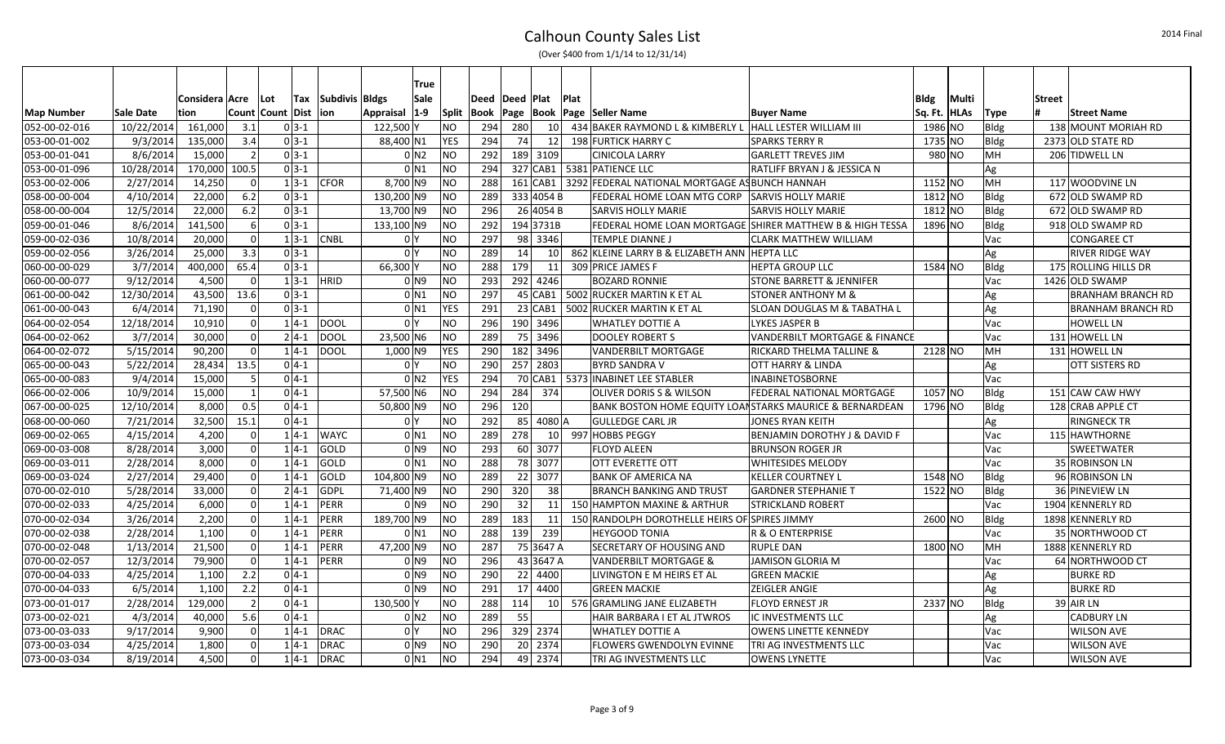| (Over \$400 from 1/1/14 to 12/31/14) |  |  |
|--------------------------------------|--|--|
|--------------------------------------|--|--|

|                   |                  |                |                |                      |                |                  | True    |            |                    |     |                 |             |                                                          |                                          |               |       |             |               |                          |
|-------------------|------------------|----------------|----------------|----------------------|----------------|------------------|---------|------------|--------------------|-----|-----------------|-------------|----------------------------------------------------------|------------------------------------------|---------------|-------|-------------|---------------|--------------------------|
|                   |                  | Considera Acre | ∣Lot           | <b>Tax</b>           | Subdivis Bldgs |                  | Sale    |            | Deed   Deed   Plat |     |                 | <b>Plat</b> |                                                          |                                          | Bldg          | Multi |             | <b>Street</b> |                          |
| <b>Map Number</b> | <b>Sale Date</b> | tion           |                | Count   Count   Dist | lion           | <b>Appraisal</b> | $ 1-9 $ | Split      | <b>Book</b>        |     |                 |             | Page   Book   Page   Seller Name                         | <b>Buyer Name</b>                        | Sq. Ft.  HLAs |       | <b>Type</b> |               | Street Name              |
| 052-00-02-016     | 10/22/2014       | 161,000        | 3.1            | $0 3-1$              |                | 122,500 Y        |         | NO         | 294                | 280 | 10 l            |             | 434 BAKER RAYMOND L & KIMBERLY L                         | HALL LESTER WILLIAM III                  | 1986 NO       |       | <b>Bldg</b> |               | 138 MOUNT MORIAH RD      |
| 053-00-01-002     | 9/3/2014         | 135,000        | 3.4            | $0 3-1$              |                | 88,400 N1        |         | <b>YES</b> | 294                | 74  | 12              |             | 198 FURTICK HARRY C                                      | SPARKS TERRY R                           | 1735 NO       |       | Bldg        |               | 2373 OLD STATE RD        |
| 053-00-01-041     | 8/6/2014         | 15,000         | $\overline{2}$ | $0 3-1$              |                |                  | 0 N2    | <b>NO</b>  | 292                |     | 189 3109        |             | <b>CINICOLA LARRY</b>                                    | <b>GARLETT TREVES JIM</b>                | 980 NO        |       | MH          |               | 206 TIDWELL LN           |
| 053-00-01-096     | 10/28/2014       | 170,000        | 100.5          | $0 3-1$              |                | $0$ N1           |         | <b>NO</b>  | 294                |     |                 |             | 327 CAB1 5381 PATIENCE LLC                               | RATLIFF BRYAN J & JESSICA N              |               |       | Ag          |               |                          |
| 053-00-02-006     | 2/27/2014        | 14,250         | 0              | $1 3-1$              | <b>CFOR</b>    | 8,700 N9         |         | <b>NO</b>  | 288                |     |                 |             | 161 CAB1 3292 FEDERAL NATIONAL MORTGAGE AS BUNCH HANNAH  |                                          | 1152 NO       |       | MH          |               | 117 WOODVINE LN          |
| 058-00-00-004     | 4/10/2014        | 22,000         | 6.2            | $0 3-1$              |                | 130,200 N9       |         | ΝO         | 289                |     | 333 4054 B      |             | FEDERAL HOME LOAN MTG CORP                               | <b>SARVIS HOLLY MARIE</b>                | 1812 NO       |       | <b>Bldg</b> |               | 672 OLD SWAMP RD         |
| 058-00-00-004     | 12/5/2014        | 22,000         | 6.2            | $0 3-1$              |                | 13,700 N9        |         | <b>NO</b>  | 296                |     | 26 4054 B       |             | <b>SARVIS HOLLY MARIE</b>                                | <b>SARVIS HOLLY MARIE</b>                | 1812 NO       |       | Bldg        |               | 672 OLD SWAMP RD         |
| 059-00-01-046     | 8/6/2014         | 141,500        | 6              | $0 3-1$              |                | 133,100 N9       |         | <b>NO</b>  | 292                |     | 194 3731B       |             | FEDERAL HOME LOAN MORTGAGE SHIRER MATTHEW B & HIGH TESSA |                                          | 1896 NO       |       | Bldg        |               | 918 OLD SWAMP RD         |
| 059-00-02-036     | 10/8/2014        | 20,000         | 0              | $1 3-1$              | <b>CNBL</b>    | 0 Y              |         | <b>NO</b>  | 297                |     | 98 3346         |             | <b>TEMPLE DIANNE J</b>                                   | CLARK MATTHEW WILLIAM                    |               |       | Vac         |               | <b>CONGAREE CT</b>       |
| 059-00-02-056     | 3/26/2014        | 25,000         | 3.3            | $0 3-1$              |                | 0 Y              |         | <b>NO</b>  | 289                | 14  | <b>10</b>       |             | 862 KLEINE LARRY B & ELIZABETH ANN HEPTA LLC             |                                          |               |       | Ag          |               | <b>RIVER RIDGE WAY</b>   |
| 060-00-00-029     | 3/7/2014         | 400,000        | 65.4           | $0 3-1$              |                | 66,300Y          |         | <b>NO</b>  | 288                | 179 | 11              |             | 309 PRICE JAMES F                                        | HEPTA GROUP LLC                          | 1584 NO       |       | Bldg        |               | 175 ROLLING HILLS DR     |
| 060-00-00-077     | 9/12/2014        | 4,500          | $\overline{0}$ | $1 3-1$              | <b>HRID</b>    |                  | 0 N 9   | ΝO         | 293                |     | 292 4246        |             | <b>BOZARD RONNIE</b>                                     | <b>STONE BARRETT &amp; JENNIFER</b>      |               |       | Vac         |               | 1426 OLD SWAMP           |
| 061-00-00-042     | 12/30/2014       | 43,500         | 13.6           | $0 3-1$              |                | $0$ N1           |         | <b>NO</b>  | 297                |     |                 |             | 45 CAB1   5002 RUCKER MARTIN K ET AL                     | <b>STONER ANTHONY M &amp;</b>            |               |       | Ag          |               | <b>BRANHAM BRANCH RD</b> |
| 061-00-00-043     | 6/4/2014         | 71,190         | $\mathbf 0$    | $0 3-1$              |                | $0$ N1           |         | <b>YES</b> | 291                |     | $23$ CAB1       |             | 5002 RUCKER MARTIN K ET AL                               | SLOAN DOUGLAS M & TABATHA L              |               |       | Ag          |               | <b>BRANHAM BRANCH RD</b> |
| 064-00-02-054     | 12/18/2014       | 10,910         | $\mathbf 0$    | $1 4-1$              | DOOL           | 0 Y              |         | <b>NO</b>  | 296                |     | 190 3496        |             | <b>WHATLEY DOTTIE A</b>                                  | LYKES JASPER B                           |               |       | Vac         |               | <b>HOWELL LN</b>         |
| 064-00-02-062     | 3/7/2014         | 30,000         | $\mathbf 0$    | $2 4-1$              | <b>DOOL</b>    | 23,500 N6        |         | NO.        | 289                |     | 75 3496         |             | <b>DOOLEY ROBERT S</b>                                   | <b>VANDERBILT MORTGAGE &amp; FINANCE</b> |               |       | Vac         |               | 131 HOWELL LN            |
| 064-00-02-072     | 5/15/2014        | 90,200         | $\Omega$       | $1 4-1$              | <b>DOOL</b>    | 1,000 N9         |         | YES        | 290                |     | 182 3496        |             | <b>VANDERBILT MORTGAGE</b>                               | <b>RICKARD THELMA TALLINE &amp;</b>      | 2128 NO       |       | <b>IMH</b>  |               | 131 HOWELL LN            |
| 065-00-00-043     | 5/22/2014        | 28,434         | 13.5           | $0 4-1$              |                | 0 Y              |         | NO.        | 290                |     | 257 2803        |             | <b>BYRD SANDRA V</b>                                     | OTT HARRY & LINDA                        |               |       | Ag          |               | OTT SISTERS RD           |
| 065-00-00-083     | 9/4/2014         | 15,000         | 5              | $0 4-1$              |                | 0 N2             |         | <b>YES</b> | 294                |     |                 |             | 70 CAB1   5373 INABINET LEE STABLER                      | <b>INABINETOSBORNE</b>                   |               |       | Vac         |               |                          |
| 066-00-02-006     | 10/9/2014        | 15,000         | 1              | $0 4-1$              |                | 57,500 N6        |         | NO.        | 294                | 284 | 374             |             | <b>OLIVER DORIS S &amp; WILSON</b>                       | <b>FEDERAL NATIONAL MORTGAGE</b>         | 1057 NO       |       | Bldg        |               | 151 CAW CAW HWY          |
| 067-00-00-025     | 12/10/2014       | 8,000          | 0.5            | $0 4-1$              |                | 50,800 N9        |         | <b>NO</b>  | 296                | 120 |                 |             | BANK BOSTON HOME EQUITY LOANSTARKS MAURICE & BERNARDEAN  |                                          | 1796 NO       |       | Bldg        |               | 128 CRAB APPLE CT        |
| 068-00-00-060     | 7/21/2014        | 32,500         | 15.1           | $0 4-1$              |                | 0 Y              |         | NO.        | 292                |     | 85 4080 A       |             | <b>GULLEDGE CARL JR</b>                                  | JONES RYAN KEITH                         |               |       | Ag          |               | <b>RINGNECK TR</b>       |
| 069-00-02-065     | 4/15/2014        | 4,200          | $\Omega$       | $1 4-1$              | <b>WAYC</b>    | $0$ N1           |         | NO         | 289                | 278 | <b>10</b>       |             | 997 HOBBS PEGGY                                          | <b>BENJAMIN DOROTHY J &amp; DAVID F</b>  |               |       | Vac         |               | 115 HAWTHORNE            |
| 069-00-03-008     | 8/28/2014        | 3,000          | $\mathbf 0$    | $1 4-1$              | GOLD           |                  | 0 N 9   | NO.        | 293                |     | 60 3077         |             | <b>FLOYD ALEEN</b>                                       | <b>BRUNSON ROGER JR</b>                  |               |       | Vac         |               | SWEETWATER               |
| 069-00-03-011     | 2/28/2014        | 8,000          | $\mathbf 0$    | $1 4-1$              | GOLD           | 0 N 1            |         | <b>NO</b>  | 288                |     | 78 3077         |             | <b>OTT EVERETTE OTT</b>                                  | WHITESIDES MELODY                        |               |       | Vac         |               | 35 ROBINSON LN           |
| 069-00-03-024     | 2/27/2014        | 29,400         | $\Omega$       | $1 4-1$              | GOLD           | 104,800 N9       |         | NO.        | 289                |     | 22 3077         |             | <b>BANK OF AMERICA NA</b>                                | <b>KELLER COURTNEY L</b>                 | 1548 NO       |       | Bldg        |               | 96 ROBINSON LN           |
| 070-00-02-010     | 5/28/2014        | 33,000         | $\mathbf 0$    | $2 4-1$              | GDPL           | 71,400 N9        |         | <b>NO</b>  | 290                | 320 | 38 <sup>1</sup> |             | <b>BRANCH BANKING AND TRUST</b>                          | <b>GARDNER STEPHANIE T</b>               | 1522 NO       |       | Bldg        |               | 36 PINEVIEW LN           |
| 070-00-02-033     | 4/25/2014        | 6,000          | $\mathbf 0$    | $1 4-1$              | PERR           |                  | 0 N 9   | NO.        | 290                | 32  | 11              |             | 150 HAMPTON MAXINE & ARTHUR                              | <b>STRICKLAND ROBERT</b>                 |               |       | Vac         |               | 1904 KENNERLY RD         |
| 070-00-02-034     | 3/26/2014        | 2,200          | $\Omega$       | $1 4-1$              | PERR           | 189,700 N9       |         | <b>NO</b>  | 289                | 183 | 11              |             | 150 RANDOLPH DOROTHELLE HEIRS OF SPIRES JIMMY            |                                          | 2600 NO       |       | Bldg        |               | 1898 KENNERLY RD         |
| 070-00-02-038     | 2/28/2014        | 1,100          | $\mathbf 0$    | $1 4-1$              | <b>PERR</b>    | $0$ N1           |         | NO.        | 288                | 139 | 239             |             | <b>HEYGOOD TONIA</b>                                     | <b>R &amp; O ENTERPRISE</b>              |               |       | Vac         |               | 35 NORTHWOOD CT          |
| 070-00-02-048     | 1/13/2014        | 21,500         | $\mathbf 0$    | $1 4-1$              | PERR           | 47,200 N9        |         | <b>NO</b>  | 287                |     | 75 3647 A       |             | <b>SECRETARY OF HOUSING AND</b>                          | <b>RUPLE DAN</b>                         | 1800 NO       |       | MH          |               | 1888 KENNERLY RD         |
| 070-00-02-057     | 12/3/2014        | 79,900         | $\mathbf 0$    | $1 4-1$              | PERR           |                  | 0 N 9   | NO.        | 296                |     | 43 3647 A       |             | <b>VANDERBILT MORTGAGE &amp;</b>                         | <b>JAMISON GLORIA M</b>                  |               |       | Vac         |               | 64 NORTHWOOD CT          |
| 070-00-04-033     | 4/25/2014        | 1,100          | 2.2            | $0 4-1$              |                |                  | 0 N 9   | NO         | 290                |     | 22 4400         |             | LIVINGTON E M HEIRS ET AL                                | <b>GREEN MACKIE</b>                      |               |       | Ag          |               | <b>BURKE RD</b>          |
| 070-00-04-033     | 6/5/2014         | 1,100          | 2.2            | $0 4-1$              |                |                  | 0 N 9   | <b>NO</b>  | 291                |     | 17 4400         |             | <b>GREEN MACKIE</b>                                      | <b>IZEIGLER ANGIE</b>                    |               |       | Ag          |               | BURKE RD                 |
| 073-00-01-017     | 2/28/2014        | 129,000        | $\overline{2}$ | $0 4-1$              |                | 130,500 Y        |         | <b>NO</b>  | 288                | 114 | 10              |             | 576 GRAMLING JANE ELIZABETH                              | <b>FLOYD ERNEST JR</b>                   | 2337 NO       |       | Bldg        |               | $39$ AIR LN              |
| 073-00-02-021     | 4/3/2014         | 40,000         | 5.6            | $0 4-1$              |                |                  | 0 N2    | NO.        | 289                | 55  |                 |             | HAIR BARBARA I ET AL JTWROS                              | IC INVESTMENTS LLC                       |               |       | Ag          |               | <b>CADBURY LN</b>        |
| 073-00-03-033     | 9/17/2014        | 9,900          | $\Omega$       | $1 4-1$              | DRAC           | 0 Y              |         | <b>NO</b>  | 296                |     | 329 2374        |             | <b>WHATLEY DOTTIE A</b>                                  | <b>OWENS LINETTE KENNEDY</b>             |               |       | Vac         |               | <b>WILSON AVE</b>        |
| 073-00-03-034     | 4/25/2014        | 1,800          | 0              | $1 4-1$              | DRAC           |                  | 0 N 9   | <b>NO</b>  | 290                |     | 20 2374         |             | <b>FLOWERS GWENDOLYN EVINNE</b>                          | TRI AG INVESTMENTS LLC                   |               |       | Vac         |               | <b>WILSON AVE</b>        |
| 073-00-03-034     | 8/19/2014        | 4,500          | $\mathbf 0$    | $1 4-1$              | DRAC           |                  | $0$ N1  | NO         | 294                |     | 49 2374         |             | TRI AG INVESTMENTS LLC                                   | <b>OWENS LYNETTE</b>                     |               |       | Vac         |               | <b>WILSON AVE</b>        |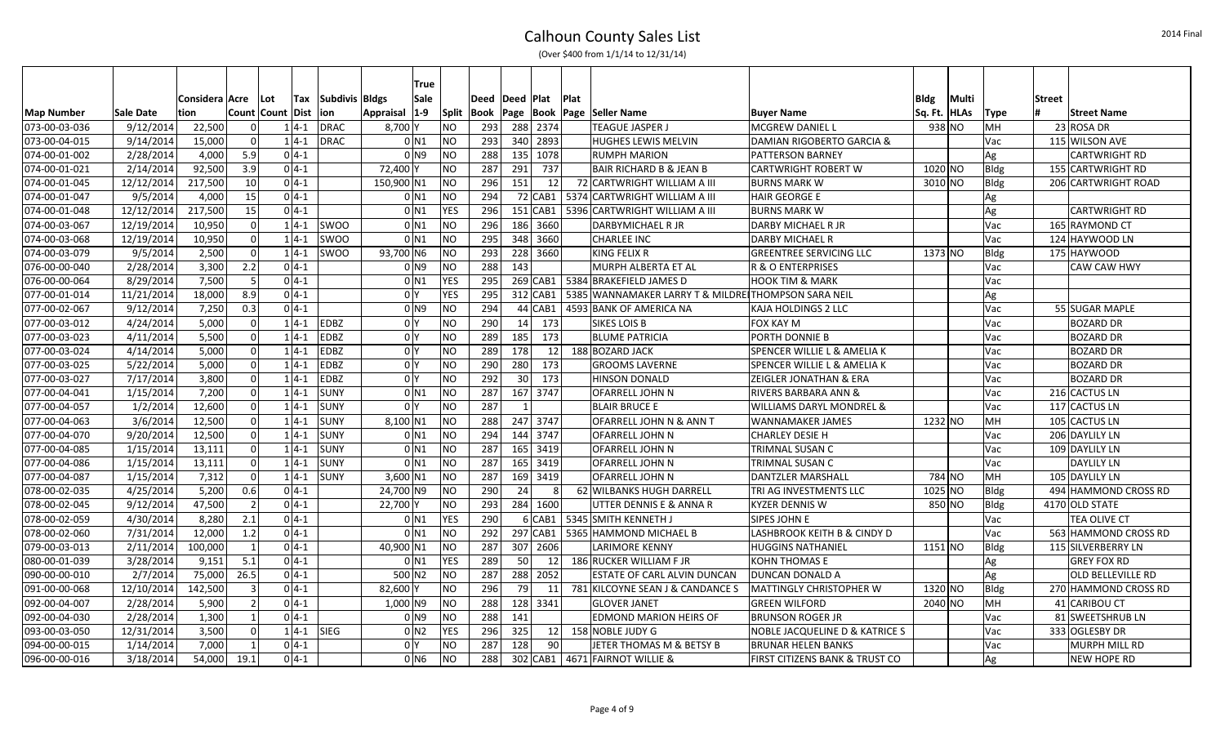|               |            |                |                |                  |          |                | True                |                |      |                 |                 |             |                                                     |                                           |             |             |             |               |                      |
|---------------|------------|----------------|----------------|------------------|----------|----------------|---------------------|----------------|------|-----------------|-----------------|-------------|-----------------------------------------------------|-------------------------------------------|-------------|-------------|-------------|---------------|----------------------|
|               |            | Considera Acre |                | Lot              | Tax      | Subdivis Bldgs | Sale                |                | Deed | Deed   Plat     |                 | <b>Plat</b> |                                                     |                                           | <b>Bldg</b> | Multi       |             | <b>Street</b> |                      |
| Map Number    | Sale Date  | tion           |                | Count Count Dist |          | ∣ion           | Appraisal 1-9       | <b>Split</b>   | Book |                 |                 |             | Page  Book  Page  Seller Name                       | <b>Buyer Name</b>                         | Sq. Ft.     | <b>HLAs</b> | <b>Type</b> |               | <b>Street Name</b>   |
| 073-00-03-036 | 9/12/2014  | 22,500         | $\Omega$       |                  | $1 4-1$  | DRAC           | $8,700$ Y           | <b>NO</b>      | 293  |                 | 288 2374        |             | <b>TEAGUE JASPER J</b>                              | <b>MCGREW DANIEL L</b>                    |             | 938 NO      | MH          |               | 23 ROSA DR           |
| 073-00-04-015 | 9/14/2014  | 15,000         | $\Omega$       |                  | $1 4-1$  | <b>DRAC</b>    | $0$ N <sub>1</sub>  | <b>NO</b>      | 293  |                 | 340 2893        |             | <b>HUGHES LEWIS MELVIN</b>                          | DAMIAN RIGOBERTO GARCIA &                 |             |             | Vac         |               | 115 WILSON AVE       |
| 074-00-01-002 | 2/28/2014  | 4,000          | 5.9            |                  | $0 4-1$  |                | $01$ N <sub>9</sub> | <b>NO</b>      | 288  |                 | 135 1078        |             | <b>RUMPH MARION</b>                                 | <b>PATTERSON BARNEY</b>                   |             |             | Ag          |               | <b>CARTWRIGHT RD</b> |
| 074-00-01-021 | 2/14/2014  | 92,500         | 3.9            |                  | $0 4-1 $ |                | 72,400 Y            | <b>NO</b>      | 287  | 291             | 737             |             | <b>BAIR RICHARD B &amp; JEAN B</b>                  | <b>CARTWRIGHT ROBERT W</b>                | 1020 NO     |             | <b>Bldg</b> |               | 155 CARTWRIGHT RD    |
| 074-00-01-045 | 12/12/2014 | 217,500        | 10             |                  | $0 4-1 $ |                | 150,900 N1          | <b>NO</b>      | 296  | 151             | 12              |             | 72 CARTWRIGHT WILLIAM A III                         | <b>BURNS MARK W</b>                       | 3010 NO     |             | Bldg        |               | 206 CARTWRIGHT ROAD  |
| 074-00-01-047 | 9/5/2014   | 4,000          | 15             |                  | $0 4-1$  |                | $0$ N1              | N <sub>O</sub> | 294  |                 |                 |             | 72 CAB1   5374 CARTWRIGHT WILLIAM A III             | <b>HAIR GEORGE E</b>                      |             |             | Ag          |               |                      |
| 074-00-01-048 | 12/12/2014 | 217,500        | 15             |                  | $0 4-1$  |                | $0$ N <sub>1</sub>  | <b>YES</b>     | 296  |                 | 151 CAB1        |             | 5396 CARTWRIGHT WILLIAM A III                       | <b>BURNS MARK W</b>                       |             |             | Ag          |               | <b>CARTWRIGHT RD</b> |
| 074-00-03-067 | 12/19/2014 | 10,950         | $\Omega$       |                  | $1 4-1 $ | <b>SWOO</b>    | $0$ N <sub>1</sub>  | <b>NO</b>      | 296  |                 | 186 3660        |             | DARBYMICHAEL R JR                                   | DARBY MICHAEL R JR                        |             |             | Vac         |               | 165 RAYMOND CT       |
| 074-00-03-068 | 12/19/2014 | 10,950         | $\Omega$       |                  | $1 4-1$  | <b>SWOO</b>    | $0$ N <sub>1</sub>  | <b>NO</b>      | 295  |                 | 348 3660        |             | <b>CHARLEE INC</b>                                  | <b>DARBY MICHAEL R</b>                    |             |             | Vac         |               | 124 HAYWOOD LN       |
| 074-00-03-079 | 9/5/2014   | 2,500          | - 0            |                  | $1 4-1$  | SWOO           | 93,700 N6           | N <sub>O</sub> | 293  |                 | 228 3660        |             | <b>KING FELIX R</b>                                 | <b>GREENTREE SERVICING LLC</b>            | 1373 NO     |             | Bldg        |               | 175 HAYWOOD          |
| 076-00-00-040 | 2/28/2014  | 3,300          | 2.2            |                  | $0 4-1$  |                | $01$ N <sub>9</sub> | <b>NO</b>      | 288  | 143             |                 |             | MURPH ALBERTA ET AL                                 | R & O ENTERPRISES                         |             |             | Vac         |               | CAW CAW HWY          |
| 076-00-00-064 | 8/29/2014  | 7,500          | - 5            |                  | $0 4-1 $ |                | $0$ N <sub>1</sub>  | <b>YES</b>     | 295  |                 | $269$ CAB1      |             | 5384 BRAKEFIELD JAMES D                             | <b>HOOK TIM &amp; MARK</b>                |             |             | Vac         |               |                      |
| 077-00-01-014 | 11/21/2014 | 18,000         | 8.9            |                  | $0 4-1$  |                | 0 <sup>N</sup>      | <b>YES</b>     | 295  |                 | 312 CAB1        |             | 5385 WANNAMAKER LARRY T & MILDREITHOMPSON SARA NEIL |                                           |             |             | Ag          |               |                      |
| 077-00-02-067 | 9/12/2014  | 7,250          | 0.3            |                  | $0 4-1$  |                | $01$ N <sub>9</sub> | N <sub>O</sub> | 294  |                 | 44 CAB1         |             | 4593 BANK OF AMERICA NA                             | KAJA HOLDINGS 2 LLC                       |             |             | Vac         |               | 55 SUGAR MAPLE       |
| 077-00-03-012 | 4/24/2014  | 5,000          | $\Omega$       |                  | $1 4-1$  | <b>EDBZ</b>    | 0 <sup>1</sup>      | <b>NO</b>      | 290  |                 | 14 173          |             | <b>SIKES LOIS B</b>                                 | FOX KAY M                                 |             |             | Vac         |               | <b>BOZARD DR</b>     |
| 077-00-03-023 | 4/11/2014  | 5,500          | $\Omega$       |                  | $1 4-1$  | EDBZ           | 0 <sup>N</sup>      | <b>NO</b>      | 289  | 185             | 173             |             | <b>BLUME PATRICIA</b>                               | PORTH DONNIE B                            |             |             | Vac         |               | <b>BOZARD DR</b>     |
| 077-00-03-024 | 4/14/2014  | 5,000          | $\Omega$       |                  | $1 4-1$  | <b>EDBZ</b>    | 0 <sup>N</sup>      | <b>NO</b>      | 289  | 178             | 12              |             | 188 BOZARD JACK                                     | SPENCER WILLIE L & AMELIA K               |             |             | Vac         |               | <b>BOZARD DR</b>     |
| 077-00-03-025 | 5/22/2014  | 5,000          | $\Omega$       |                  | $1 4-1$  | <b>EDBZ</b>    | 0 <sup>N</sup>      | <b>NO</b>      | 290  | 280             | 173             |             | <b>GROOMS LAVERNE</b>                               | SPENCER WILLIE L & AMELIA K               |             |             | Vac         |               | <b>BOZARD DR</b>     |
| 077-00-03-027 | 7/17/2014  | 3.800          | $\Omega$       |                  | $1 4-1$  | EDBZ           | 0 <sup>N</sup>      | <b>NO</b>      | 292  | 30 <sup>°</sup> | 173             |             | <b>HINSON DONALD</b>                                | <b>ZEIGLER JONATHAN &amp; ERA</b>         |             |             | Vac         |               | <b>BOZARD DR</b>     |
| 077-00-04-041 | 1/15/2014  | 7,200          | $\Omega$       |                  | $1 4-1$  | <b>SUNY</b>    | $0$ N <sub>1</sub>  | <b>NO</b>      | 287  |                 | 167 3747        |             | <b>OFARRELL JOHN N</b>                              | <b>RIVERS BARBARA ANN &amp;</b>           |             |             | Vac         |               | 216 CACTUS LN        |
| 077-00-04-057 | 1/2/2014   | 12,600         | $\Omega$       |                  | $1 4-1$  | <b>SUNY</b>    | 0 <sup>N</sup>      | <b>NO</b>      | 287  |                 |                 |             | <b>BLAIR BRUCE E</b>                                | WILLIAMS DARYL MONDREL &                  |             |             | Vac         |               | 117 CACTUS LN        |
| 077-00-04-063 | 3/6/2014   | 12,500         | $\Omega$       |                  | $1 4-1$  | <b>SUNY</b>    | $8,100$ N1          | <b>NO</b>      | 288  |                 | 247 3747        |             | OFARRELL JOHN N & ANN T                             | <b>WANNAMAKER JAMES</b>                   | 1232 NO     |             | MH          |               | 105 CACTUS LN        |
| 077-00-04-070 | 9/20/2014  | 12,500         | $\Omega$       |                  | $1 4-1$  | <b>SUNY</b>    | $0$ N <sub>1</sub>  | <b>NO</b>      | 294  |                 | 144 3747        |             | <b>OFARRELL JOHN N</b>                              | <b>CHARLEY DESIE H</b>                    |             |             | Vac         |               | 206 DAYLILY LN       |
| 077-00-04-085 | 1/15/2014  | 13,111         | $\Omega$       |                  | $1 4-1$  | <b>SUNY</b>    | $0$ N <sub>1</sub>  | <b>NO</b>      | 287  |                 | 165 3419        |             | OFARRELL JOHN N                                     | <b>TRIMNAL SUSAN C</b>                    |             |             | Vac         |               | 109 DAYLILY LN       |
| 077-00-04-086 | 1/15/2014  | 13,111         | $\Omega$       |                  | $1 4-1$  | SUNY           | $0$ N <sub>1</sub>  | <b>NO</b>      | 287  |                 | 165 3419        |             | <b>OFARRELL JOHN N</b>                              | TRIMNAL SUSAN C                           |             |             | Vac         |               | <b>DAYLILY LN</b>    |
| 077-00-04-087 | 1/15/2014  | 7,312          | 0 <sup>1</sup> |                  | $1 4-1$  | <b>SUNY</b>    | 3.600 N1            | <b>NO</b>      | 287  |                 | 169 3419        |             | <b>OFARRELL JOHN N</b>                              | <b>DANTZLER MARSHALL</b>                  |             | 784 NO      | MH          |               | 105 DAYLILY LN       |
| 078-00-02-035 | 4/25/2014  | 5,200          | 0.6            |                  | $0 4-1$  |                | 24,700 N9           | <b>NO</b>      | 290  | 24              | 8 <sup>1</sup>  |             | 62 WILBANKS HUGH DARRELL                            | TRI AG INVESTMENTS LLC                    | 1025 NO     |             | Bldg        |               | 494 HAMMOND CROSS RD |
| 078-00-02-045 | 9/12/2014  | 47,500         | $\overline{2}$ |                  | $0 4-1 $ |                | 22,700 Y            | <b>NO</b>      | 293  |                 | 284 1600        |             | UTTER DENNIS E & ANNA R                             | <b>KYZER DENNIS W</b>                     |             | 850 NO      | <b>Bldg</b> |               | 4170 OLD STATE       |
| 078-00-02-059 | 4/30/2014  | 8,280          | 2.1            |                  | $0 4-1 $ |                | $0$ N <sub>1</sub>  | <b>YES</b>     | 290  |                 | 6 CAB1          |             | 5345 SMITH KENNETH J                                | <b>SIPES JOHN E</b>                       |             |             | Vac         |               | TEA OLIVE CT         |
| 078-00-02-060 | 7/31/2014  | 12,000         | 1.2            |                  | $0 4-1$  |                | $0$ N <sub>1</sub>  | <b>NO</b>      | 292  |                 | 297 CAB1        |             | 5365 HAMMOND MICHAEL B                              | LASHBROOK KEITH B & CINDY D               |             |             | Vac         |               | 563 HAMMOND CROSS RD |
| 079-00-03-013 | 2/11/2014  | 100,000        | $\overline{1}$ |                  | $0 4-1$  |                | 40,900 N1           | <b>NO</b>      | 287  |                 | 307 2606        |             | LARIMORE KENNY                                      | <b>HUGGINS NATHANIEL</b>                  | $1151$ NO   |             | Bldg        |               | 115 SILVERBERRY LN   |
| 080-00-01-039 | 3/28/2014  | 9,151          | 5.1            |                  | $0 4-1 $ |                | $0$ N <sub>1</sub>  | <b>YES</b>     | 289  | 50              | 12              |             | 186 RUCKER WILLIAM F JR                             | <b>KOHN THOMAS E</b>                      |             |             | Ag          |               | <b>GREY FOX RD</b>   |
| 090-00-00-010 | 2/7/2014   | 75,000         | 26.5           |                  | $0 4-1$  |                | 500 N2              | <b>NO</b>      | 287  |                 | 288 2052        |             | ESTATE OF CARL ALVIN DUNCAN                         | DUNCAN DONALD A                           |             |             | Ag          |               | OLD BELLEVILLE RD    |
| 091-00-00-068 | 12/10/2014 | 142,500        | 3              |                  | $0 4-1$  |                | 82,600 Y            | <b>NO</b>      | 296  | 79              | 11              |             | 781 KILCOYNE SEAN J & CANDANCE S                    | <b>MATTINGLY CHRISTOPHER W</b>            | 1320 NO     |             | Bldg        |               | 270 HAMMOND CROSS RD |
| 092-00-04-007 | 2/28/2014  | 5,900          | $\mathcal{P}$  |                  | $0 4-1$  |                | 1,000 N9            | <b>NO</b>      | 288  |                 | 128 3341        |             | <b>GLOVER JANET</b>                                 | <b>GREEN WILFORD</b>                      | 2040 NO     |             | MH          |               | 41 CARIBOU CT        |
| 092-00-04-030 | 2/28/2014  | 1,300          | $\mathbf{1}$   |                  | $0 4-1$  |                | $01$ N <sub>9</sub> | <b>NO</b>      | 288  | 141             |                 |             | <b>EDMOND MARION HEIRS OF</b>                       | <b>BRUNSON ROGER JR</b>                   |             |             | Vac         |               | 81 SWEETSHRUB LN     |
| 093-00-03-050 | 12/31/2014 | 3,500          | $\Omega$       |                  | $1 4-1$  | <b>SIEG</b>    | 0 <sub>N2</sub>     | <b>YES</b>     | 296  | 325             | 12 <sup>1</sup> |             | 158 NOBLE JUDY G                                    | <b>NOBLE JACQUELINE D &amp; KATRICE S</b> |             |             | Vac         |               | 333 OGLESBY DR       |
| 094-00-00-015 | 1/14/2014  | 7,000          | $\overline{1}$ |                  | $0 4-1$  |                | 0 <sup>N</sup>      | <b>NO</b>      | 287  | 128             | 90 <sup>°</sup> |             | JETER THOMAS M & BETSY B                            | <b>BRUNAR HELEN BANKS</b>                 |             |             | Vac         |               | MURPH MILL RD        |
| 096-00-00-016 | 3/18/2014  | 54,000         | 19.1           |                  | $0 4-1$  |                | $0$ N <sub>6</sub>  | <b>NO</b>      | 288  |                 |                 |             | 302 CAB1   4671 FAIRNOT WILLIE &                    | <b>FIRST CITIZENS BANK &amp; TRUST CO</b> |             |             | Ag          |               | <b>NEW HOPE RD</b>   |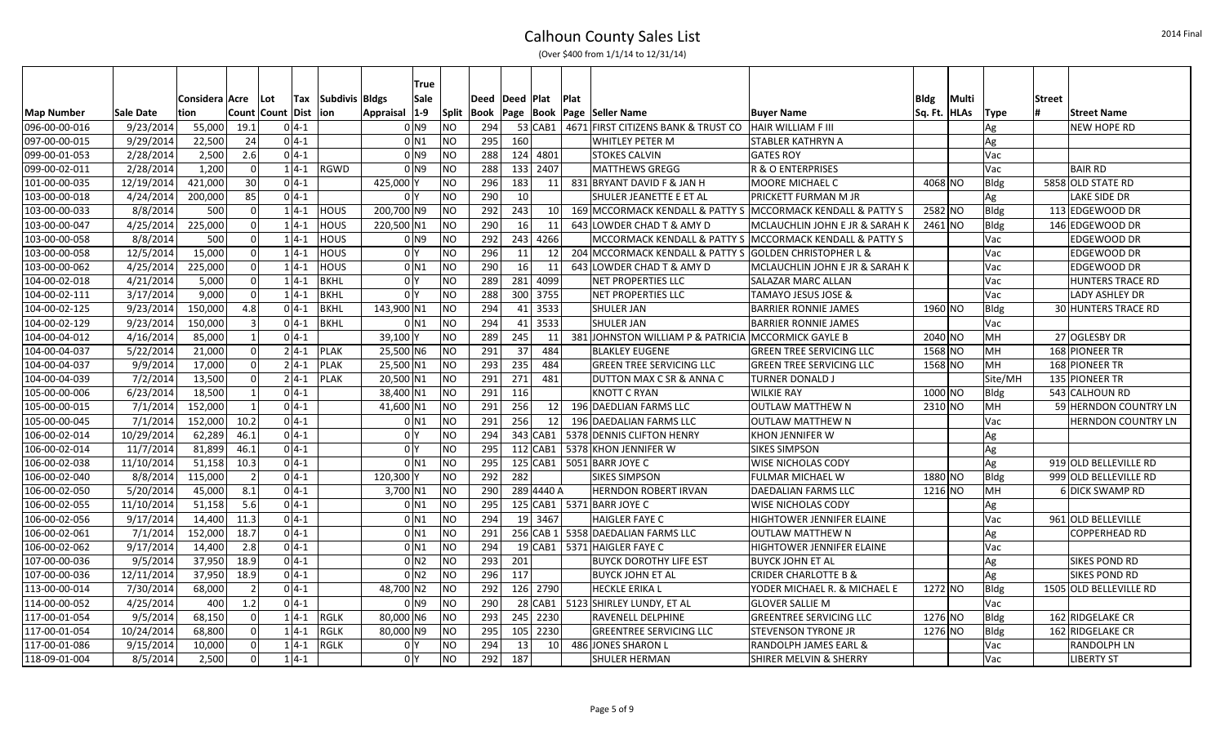|               |                  |                  |                 |                  |          |                | True                |                |      |           |                 |             |                                                             |                                   |           |             |             |               |                         |
|---------------|------------------|------------------|-----------------|------------------|----------|----------------|---------------------|----------------|------|-----------|-----------------|-------------|-------------------------------------------------------------|-----------------------------------|-----------|-------------|-------------|---------------|-------------------------|
|               |                  | Considera   Acre |                 | Lot              | Tax      | Subdivis Bldgs | Sale                |                | Deed | Deed Plat |                 | <b>Plat</b> |                                                             |                                   | Bldg      | Multi       |             | <b>Street</b> |                         |
| Map Number    | <b>Sale Date</b> | tion             |                 | Count Count Dist |          | lion.          | Appraisal 1-9       | <b>Split</b>   |      |           |                 |             | Book   Page   Book   Page   Seller Name                     | <b>Buyer Name</b>                 | Sq. Ft.   | <b>HLAs</b> | Type        |               | <b>Street Name</b>      |
| 096-00-00-016 | 9/23/2014        | 55,000           | 19.1            |                  | $0 4-1$  |                | 0 N9                | <b>NO</b>      | 294  |           |                 |             | 53 CAB1   4671 FIRST CITIZENS BANK & TRUST CO               | <b>HAIR WILLIAM F III</b>         |           |             | Ag          |               | <b>NEW HOPE RD</b>      |
| 097-00-00-015 | 9/29/2014        | 22,500           | 24              |                  | $0 4-1$  |                | 0 N1                | <b>NO</b>      | 295  | 160       |                 |             | <b>WHITLEY PETER M</b>                                      | STABLER KATHRYN A                 |           |             | Ag          |               |                         |
| 099-00-01-053 | 2/28/2014        | 2,500            | 2.6             |                  | $0 4-1$  |                | $01$ N <sub>9</sub> | <b>NO</b>      | 288  |           | 124 4801        |             | <b>STOKES CALVIN</b>                                        | <b>GATES ROY</b>                  |           |             | Vac         |               |                         |
| 099-00-02-011 | 2/28/2014        | 1,200            | $\Omega$        |                  | $1 4-1$  | <b>RGWD</b>    | $01$ N <sub>9</sub> | <b>NO</b>      | 288  |           | 133 2407        |             | MATTHEWS GREGG                                              | <b>R &amp; O ENTERPRISES</b>      |           |             | Vac         |               | <b>BAIR RD</b>          |
| 101-00-00-035 | 12/19/2014       | 421,000          | 30 <sup>1</sup> |                  | $0 4-1$  |                | 425,000 Y           | <b>NO</b>      | 296  | 183       | 11              |             | 831 BRYANT DAVID F & JAN H                                  | <b>MOORE MICHAEL C</b>            | 4068 NO   |             | Bldg        |               | 5858 OLD STATE RD       |
| 103-00-00-018 | 4/24/2014        | 200,000          | 85              |                  | $0 4-1$  |                | 0 <sup>N</sup>      | <b>NO</b>      | 290  | 10        |                 |             | SHULER JEANETTE E ET AL                                     | PRICKETT FURMAN M JR              |           |             | Ag          |               | LAKE SIDE DR            |
| 103-00-00-033 | 8/8/2014         | 500              | $\Omega$        |                  | $1 4-1$  | <b>HOUS</b>    | 200,700 N9          | <b>NO</b>      | 292  | 243       | 10 <sup>1</sup> |             | 169 MCCORMACK KENDALL & PATTY S MCCORMACK KENDALL & PATTY S |                                   | 2582 NO   |             | Bldg        |               | 113 EDGEWOOD DR         |
| 103-00-00-047 | 4/25/2014        | 225,000          | $\Omega$        |                  | $1 4-1$  | <b>HOUS</b>    | 220,500 N1          | <b>NO</b>      | 290  | 16        | 11              |             | 643 LOWDER CHAD T & AMY D                                   | MCLAUCHLIN JOHN E JR & SARAH K    | $2461$ NO |             | Bldg        |               | 146 EDGEWOOD DR         |
| 103-00-00-058 | 8/8/2014         | 500              | $\Omega$        |                  | $1 4-1$  | HOUS           | 0 N9                | <b>NO</b>      | 292  |           | 243 4266        |             | MCCORMACK KENDALL & PATTY S MCCORMACK KENDALL & PATTY S     |                                   |           |             | Vac         |               | EDGEWOOD DR             |
| 103-00-00-058 | 12/5/2014        | 15,000           | $\Omega$        |                  | $1 4-1$  | <b>HOUS</b>    | 0 <sup>N</sup>      | <b>NO</b>      | 296  | 11        | 12              |             | 204 MCCORMACK KENDALL & PATTY S GOLDEN CHRISTOPHER L &      |                                   |           |             | Vac         |               | EDGEWOOD DR             |
| 103-00-00-062 | 4/25/2014        | 225,000          | $\Omega$        | $1 4-1$          |          | HOUS           | $0$ N <sub>1</sub>  | <b>NO</b>      | 290  | 16        | 11              |             | 643 LOWDER CHAD T & AMY D                                   | MCLAUCHLIN JOHN E JR & SARAH K    |           |             | Vac         |               | EDGEWOOD DR             |
| 104-00-02-018 | 4/21/2014        | 5,000            | $\Omega$        | $1 4-1$          |          | <b>BKHL</b>    | 0 <sup>N</sup>      | <b>NO</b>      | 289  |           | 281 4099        |             | NET PROPERTIES LLC                                          | SALAZAR MARC ALLAN                |           |             | Vac         |               | <b>HUNTERS TRACE RD</b> |
| 104-00-02-111 | 3/17/2014        | 9,000            | $\Omega$        |                  | $1 4-1$  | <b>BKHL</b>    | 0 <sup>N</sup>      | <b>NO</b>      | 288  |           | 300 3755        |             | NET PROPERTIES LLC                                          | <b>TAMAYO JESUS JOSE &amp;</b>    |           |             | Vac         |               | LADY ASHLEY DR          |
| 104-00-02-125 | 9/23/2014        | 150,000          | 4.8             |                  | $0 4-1$  | <b>BKHL</b>    | 143,900 N1          | <b>NO</b>      | 294  |           | 41 3533         |             | <b>SHULER JAN</b>                                           | <b>BARRIER RONNIE JAMES</b>       | 1960 NO   |             | Bldg        |               | 30 HUNTERS TRACE RD     |
| 104-00-02-129 | 9/23/2014        | 150,000          | $\overline{3}$  |                  | $0 4-1$  | <b>BKHL</b>    | $0$ N <sub>1</sub>  | <b>NO</b>      | 294  |           | $41$ 3533       |             | <b>SHULER JAN</b>                                           | <b>BARRIER RONNIE JAMES</b>       |           |             | Vac         |               |                         |
| 104-00-04-012 | 4/16/2014        | 85,000           | $\mathbf{1}$    |                  | $0 4-1$  |                | 39,100 Y            | <b>NO</b>      | 289  | 245       | 11              |             | 381 JOHNSTON WILLIAM P & PATRICIA MCCORMICK GAYLE B         |                                   | 2040 NO   |             | MH          |               | 27 OGLESBY DR           |
| 104-00-04-037 | 5/22/2014        | 21,000           | $\Omega$        |                  | $2 4-1 $ | <b>PLAK</b>    | 25,500 N6           | <b>NO</b>      | 291  | 37        | 484             |             | <b>BLAKLEY EUGENE</b>                                       | <b>GREEN TREE SERVICING LLC</b>   | 1568 NO   |             | <b>MH</b>   |               | 168 PIONEER TR          |
| 104-00-04-037 | 9/9/2014         | 17,000           | $\Omega$        |                  | $2 4-1 $ | <b>PLAK</b>    | 25,500 N1           | <b>NO</b>      | 293  | 235       | 484             |             | <b>GREEN TREE SERVICING LLC</b>                             | <b>GREEN TREE SERVICING LLC</b>   | 1568 NO   |             | <b>MH</b>   |               | 168 PIONEER TR          |
| 104-00-04-039 | 7/2/2014         | 13,500           | $\Omega$        |                  | $2 4-1$  | <b>PLAK</b>    | 20,500 N1           | <b>NO</b>      | 291  | 271       | 481             |             | <b>DUTTON MAX C SR &amp; ANNA C</b>                         | <b>TURNER DONALD J</b>            |           |             | Site/MH     |               | 135 PIONEER TR          |
| 105-00-00-006 | 6/23/2014        | 18,500           | $\mathbf{1}$    |                  | $0 4-1$  |                | 38,400 N1           | <b>NO</b>      | 291  | 116       |                 |             | <b>KNOTT C RYAN</b>                                         | <b>WILKIE RAY</b>                 | 1000 NO   |             | Bldg        |               | 543 CALHOUN RD          |
| 105-00-00-015 | 7/1/2014         | 152,000          | $\overline{1}$  |                  | $0 4-1 $ |                | 41,600 N1           | <b>NO</b>      | 291  | 256       | 12              |             | 196 DAEDLIAN FARMS LLC                                      | <b>OUTLAW MATTHEW N</b>           | 2310 NO   |             | <b>MH</b>   |               | 59 HERNDON COUNTRY LN   |
| 105-00-00-045 | 7/1/2014         | 152,000          | 10.2            |                  | $0 4-1$  |                | $0$ N <sub>1</sub>  | <b>NO</b>      | 291  | 256       | 12              |             | 196 DAEDALIAN FARMS LLC                                     | <b>OUTLAW MATTHEW N</b>           |           |             | Vac         |               | HERNDON COUNTRY LN      |
| 106-00-02-014 | 10/29/2014       | 62,289           | 46.1            |                  | $0 4-1 $ |                | 0 <sup>N</sup>      | <b>NO</b>      | 294  |           | 343 CAB1        |             | 5378 DENNIS CLIFTON HENRY                                   | <b>KHON JENNIFER W</b>            |           |             | Ag          |               |                         |
| 106-00-02-014 | 11/7/2014        | 81,899           | 46.1            |                  | $0 4-1 $ |                | 0 <sup>N</sup>      | <b>NO</b>      | 295  |           | 112 CAB1        |             | 5378 KHON JENNIFER W                                        | <b>SIKES SIMPSON</b>              |           |             | Ag          |               |                         |
| 106-00-02-038 | 11/10/2014       | 51,158           | 10.3            |                  | $0 4-1$  |                | $0$ N <sub>1</sub>  | <b>NO</b>      | 295  |           | 125 CAB1        |             | 5051 BARR JOYE C                                            | WISE NICHOLAS CODY                |           |             | Ag          |               | 919 OLD BELLEVILLE RD   |
| 106-00-02-040 | 8/8/2014         | 115,000          | $\overline{2}$  |                  | $0 4-1$  |                | 120,300 Y           | <b>NO</b>      | 292  | 282       |                 |             | <b>SIKES SIMPSON</b>                                        | FULMAR MICHAEL W                  | 1880 NO   |             | Bldg        |               | 999 OLD BELLEVILLE RD   |
| 106-00-02-050 | 5/20/2014        | 45,000           | 8.1             |                  | $0 4-1$  |                | $3,700$ N1          | <b>NO</b>      | 290  |           | 289 4440 A      |             | <b>HERNDON ROBERT IRVAN</b>                                 | <b>DAEDALIAN FARMS LLC</b>        | $1216$ NO |             | MH          |               | 6 DICK SWAMP RD         |
| 106-00-02-055 | 11/10/2014       | 51,158           | 5.6             |                  | $0 4-1 $ |                | $0$ <sub>N1</sub>   | <b>NO</b>      | 295  |           |                 |             | 125 CAB1 5371 BARR JOYE C                                   | <b>WISE NICHOLAS CODY</b>         |           |             | Ag          |               |                         |
| 106-00-02-056 | 9/17/2014        | 14,400           | 11.3            |                  | $0 4-1$  |                | $0$ N <sub>1</sub>  | <b>NO</b>      | 294  |           | 19 3467         |             | <b>HAIGLER FAYE C</b>                                       | <b>HIGHTOWER JENNIFER ELAINE</b>  |           |             | Vac         |               | 961 OLD BELLEVILLE      |
| 106-00-02-061 | 7/1/2014         | 152,000          | 18.7            |                  | $0 4-1$  |                | $0$ N <sub>1</sub>  | N <sub>O</sub> | 291  |           |                 |             | 256 CAB 1 5358 DAEDALIAN FARMS LLC                          | <b>OUTLAW MATTHEW N</b>           |           |             | Ag          |               | COPPERHEAD RD           |
| 106-00-02-062 | 9/17/2014        | 14,400           | 2.8             |                  | $0 4-1$  |                | $0$ N <sub>1</sub>  | <b>NO</b>      | 294  |           |                 |             | 19 CAB1   5371 HAIGLER FAYE C                               | HIGHTOWER JENNIFER ELAINE         |           |             | Vac         |               |                         |
| 107-00-00-036 | 9/5/2014         | 37,950           | 18.9            |                  | $0 4-1 $ |                | $0$ N <sub>2</sub>  | <b>NO</b>      | 293  | 201       |                 |             | <b>BUYCK DOROTHY LIFE EST</b>                               | <b>BUYCK JOHN ET AL</b>           |           |             | Ag          |               | <b>SIKES POND RD</b>    |
| 107-00-00-036 | 12/11/2014       | 37,950           | 18.9            |                  | $0 4-1 $ |                | 0 <sub>N2</sub>     | <b>NO</b>      | 296  | 117       |                 |             | <b>BUYCK JOHN ET AL</b>                                     | <b>CRIDER CHARLOTTE B &amp;</b>   |           |             | Ag          |               | <b>SIKES POND RD</b>    |
| 113-00-00-014 | 7/30/2014        | 68,000           | $\vert$ 2       |                  | $0 4-1$  |                | 48,700 N2           | <b>NO</b>      | 292  |           | 126 2790        |             | <b>HECKLE ERIKA L</b>                                       | YODER MICHAEL R. & MICHAEL E      | 1272 NO   |             | Bldg        |               | 1505 OLD BELLEVILLE RD  |
| 114-00-00-052 | 4/25/2014        | 400              | 1.2             |                  | $0 4-1$  |                | $01$ N <sub>9</sub> | <b>NO</b>      | 290  |           |                 |             | 28 CAB1   5123 SHIRLEY LUNDY, ET AL                         | <b>GLOVER SALLIE M</b>            |           |             | Vac         |               |                         |
| 117-00-01-054 | 9/5/2014         | 68,150           | $\Omega$        |                  | $1 4-1$  | <b>RGLK</b>    | 80,000 N6           | <b>NO</b>      | 293  |           | 245 2230        |             | <b>RAVENELL DELPHINE</b>                                    | <b>GREENTREE SERVICING LLC</b>    | 1276 NO   |             | Bldg        |               | 162 RIDGELAKE CR        |
| 117-00-01-054 | 10/24/2014       | 68,800           | $\Omega$        |                  | $1 4-1$  | <b>RGLK</b>    | 80,000 N9           | <b>NO</b>      | 295  |           | $105$ 2230      |             | <b>GREENTREE SERVICING LLC</b>                              | <b>STEVENSON TYRONE JR</b>        | 1276 NO   |             | <b>Bldg</b> |               | 162 RIDGELAKE CR        |
| 117-00-01-086 | 9/15/2014        | 10,000           | $\Omega$        |                  | $1 4-1$  | RGLK           | 0 I Y               | <b>NO</b>      | 294  | 13        | 10 <sup>1</sup> |             | 486 JONES SHARON L                                          | RANDOLPH JAMES EARL &             |           |             | Vac         |               | RANDOLPH LN             |
| 118-09-01-004 | 8/5/2014         | 2,500            | $\Omega$        | $1 4-1$          |          |                | 0 <sup>Y</sup>      | N <sub>O</sub> | 292  | 187       |                 |             | <b>SHULER HERMAN</b>                                        | <b>SHIRER MELVIN &amp; SHERRY</b> |           |             | Vac         |               | <b>LIBERTY ST</b>       |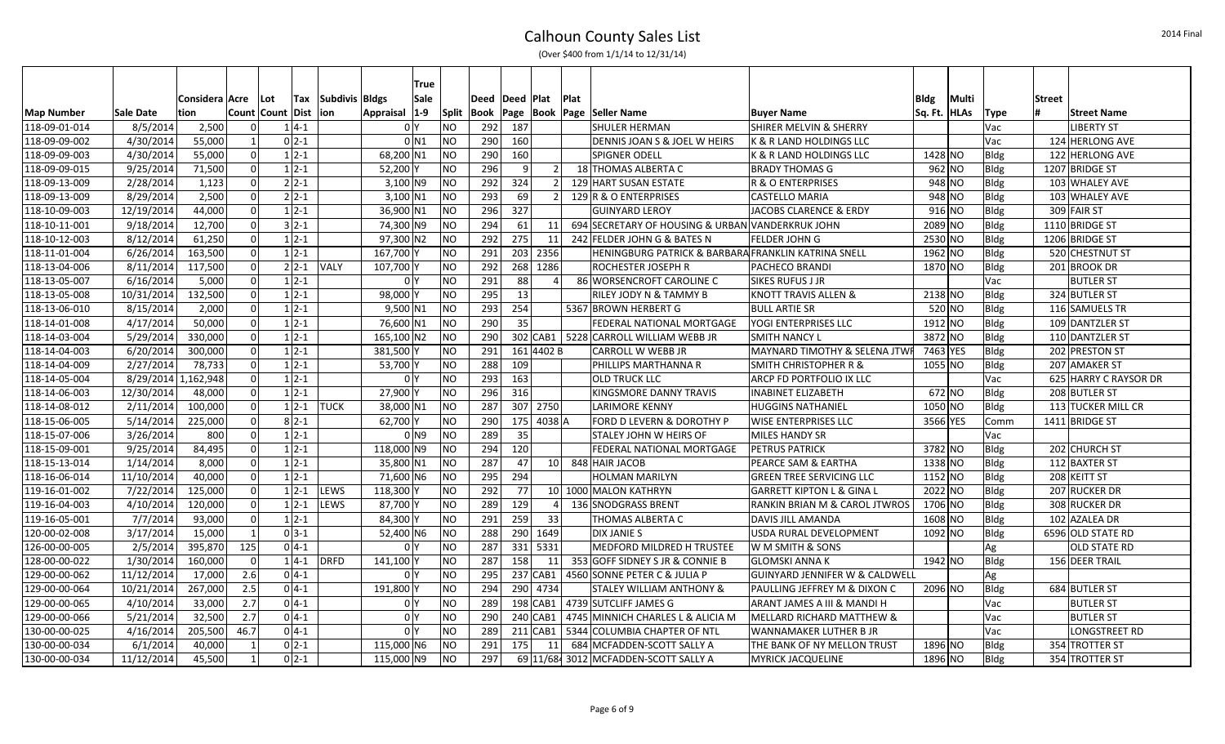|                   |            |                |                  |          |                | <b>True</b>    |                |      |           |            |      |                                                     |                                           |             |             |             |               |                       |
|-------------------|------------|----------------|------------------|----------|----------------|----------------|----------------|------|-----------|------------|------|-----------------------------------------------------|-------------------------------------------|-------------|-------------|-------------|---------------|-----------------------|
|                   |            | Considera Acre | Lot              | Tax      | Subdivis Bldgs | Sale           |                | Deed | Deed Plat |            | Plat |                                                     |                                           | <b>Bldg</b> | Multi       |             | <b>Street</b> |                       |
| <b>Map Number</b> | Sale Date  | tion           | Count Count Dist |          | lion           | Appraisal  1-9 | Split          |      |           |            |      | Book   Page   Book   Page   Seller Name             | <b>Buyer Name</b>                         | Sq. Ft.     | <b>HLAs</b> | <b>Type</b> |               | <b>Street Name</b>    |
| 118-09-01-014     | 8/5/2014   | 2,500          |                  | $1 4-1 $ |                | 0 <sup>Y</sup> | NO             | 292  | 187       |            |      | <b>SHULER HERMAN</b>                                | <b>SHIRER MELVIN &amp; SHERRY</b>         |             |             | Vac         |               | <b>LIBERTY ST</b>     |
| 118-09-09-002     | 4/30/2014  | 55,000         | -1               | $0 2-1 $ |                | 0 N1           | NO.            | 290  | 160       |            |      | DENNIS JOAN S & JOEL W HEIRS                        | K & R LAND HOLDINGS LLC                   |             |             | Vac         |               | 124 HERLONG AVE       |
| 118-09-09-003     | 4/30/2014  | 55,000         | $\mathsf{C}$     | $1 2-1 $ |                | 68,200 N1      | <b>NO</b>      | 290  | 160       |            |      | <b>SPIGNER ODELL</b>                                | K & R LAND HOLDINGS LLC                   | 1428 NO     |             | Bldg        |               | 122 HERLONG AVE       |
| 118-09-09-015     | 9/25/2014  | 71,500         | $\Omega$         | $1 2-1 $ |                | 52,200Y        | N <sub>O</sub> | 296  | 9         |            |      | 18 THOMAS ALBERTA C                                 | <b>BRADY THOMAS G</b>                     | $962$ NO    |             | <b>Bldg</b> |               | 1207 BRIDGE ST        |
| 118-09-13-009     | 2/28/2014  | 1,123          | $\Omega$         | $2 2-1 $ |                | $3,100$ N9     | N <sub>O</sub> | 292  | 324       |            |      | 129 HART SUSAN ESTATE                               | R & O ENTERPRISES                         | 948 NO      |             | <b>Bldg</b> |               | 103 WHALEY AVE        |
| 118-09-13-009     | 8/29/2014  | 2,500          | $\Omega$         | $2 2-1 $ |                | $3,100$ N1     | NO             | 293  | 69        |            |      | 129 R & O ENTERPRISES                               | <b>CASTELLO MARIA</b>                     | 948 NO      |             | <b>Bldg</b> |               | 103 WHALEY AVE        |
| 118-10-09-003     | 12/19/2014 | 44,000         | $\mathsf{C}$     | $1 2-1 $ |                | 36,900 N1      | <b>NO</b>      | 296  | 327       |            |      | <b>GUINYARD LEROY</b>                               | JACOBS CLARENCE & ERDY                    | $916$ NO    |             | <b>Bldg</b> |               | 309 FAIR ST           |
| 118-10-11-001     | 9/18/2014  | 12,700         | $\Omega$         | $3 2-1 $ |                | 74,300 N9      | N <sub>O</sub> | 294  | 61        | 11         |      | 694 SECRETARY OF HOUSING & URBAN VANDERKRUK JOHN    |                                           | 2089 NO     |             | <b>Bldg</b> |               | 1110 BRIDGE ST        |
| 118-10-12-003     | 8/12/2014  | 61,250         | $\mathsf{C}$     | $1 2-1$  |                | 97,300 N2      | <b>NO</b>      | 292  | 275       | 11         |      | 242 FELDER JOHN G & BATES N                         | <b>FELDER JOHN G</b>                      | 2530 NO     |             | <b>Bldg</b> |               | 1206 BRIDGE ST        |
| 118-11-01-004     | 6/26/2014  | 163,500        | $\Omega$         | $1 2-1 $ |                | 167,700 Y      | NO             | 291  |           | 203 2356   |      | HENINGBURG PATRICK & BARBARA FRANKLIN KATRINA SNELL |                                           | 1962 NO     |             | <b>Bldg</b> |               | 520 CHESTNUT ST       |
| 118-13-04-006     | 8/11/2014  | 117,500        | $\Omega$         | $2 2-1 $ | <b>VALY</b>    | 107,700 Y      | N <sub>O</sub> | 292  |           | 268 1286   |      | <b>ROCHESTER JOSEPH R</b>                           | <b>PACHECO BRANDI</b>                     | 1870 NO     |             | Bldg        |               | 201 BROOK DR          |
| 118-13-05-007     | 6/16/2014  | 5.000          | $\Omega$         | $1 2-1$  |                | 0 <sup>N</sup> | <b>NO</b>      | 291  | 88        |            |      | 86 WORSENCROFT CAROLINE C                           | <b>SIKES RUFUS J JR</b>                   |             |             | Vac         |               | <b>BUTLER ST</b>      |
| 118-13-05-008     | 10/31/2014 | 132,500        | ſ                | $1 2-1$  |                | 98,000 Y       | N <sub>O</sub> | 295  | 13        |            |      | RILEY JODY N & TAMMY B                              | KNOTT TRAVIS ALLEN &                      | 2138 NO     |             | <b>Bldg</b> |               | 324 BUTLER ST         |
| 118-13-06-010     | 8/15/2014  | 2,000          | $\Omega$         | $1 2-1 $ |                | 9,500 N1       | NO             | 293  | 254       |            |      | 5367 BROWN HERBERT G                                | <b>BULL ARTIE SR</b>                      | 520 NO      |             | <b>Bldg</b> |               | 116 SAMUELS TR        |
| 118-14-01-008     | 4/17/2014  | 50,000         | - C              | $1 2-1$  |                | 76,600 N1      | <b>NO</b>      | 290  | 35        |            |      | FEDERAL NATIONAL MORTGAGE                           | <b>YOGI ENTERPRISES LLC</b>               | 1912 NO     |             | <b>Bldg</b> |               | 109 DANTZLER ST       |
| 118-14-03-004     | 5/29/2014  | 330.000        | $\Omega$         | $1 2-1$  |                | 165,100 N2     | <b>NO</b>      | 290  |           |            |      | 302 CAB1   5228 CARROLL WILLIAM WEBB JR             | <b>SMITH NANCY L</b>                      | 3872 NO     |             | <b>Bldg</b> |               | 110 DANTZLER ST       |
| 118-14-04-003     | 6/20/2014  | 300,000        | $\Omega$         | $1 2-1 $ |                | 381,500 Y      | NO             | 291  |           | 161 4402 B |      | <b>CARROLL W WEBB JR</b>                            | MAYNARD TIMOTHY & SELENA JTWF             | 7463 YES    |             | Bldg        |               | 202 PRESTON ST        |
| 118-14-04-009     | 2/27/2014  | 78,733         | $\Omega$         | $1 2-1 $ |                | 53,700 Y       | NO             | 288  | 109       |            |      | PHILLIPS MARTHANNA R                                | <b>SMITH CHRISTOPHER R &amp;</b>          | 1055 NO     |             | <b>Bldg</b> |               | 207 AMAKER ST         |
| 118-14-05-004     | 8/29/2014  | 1,162,948      | - C              | $1 2-1$  |                | 0 <sup>Y</sup> | <b>NO</b>      | 293  | 163       |            |      | <b>OLD TRUCK LLC</b>                                | <b>ARCP FD PORTFOLIO IX LLC</b>           |             |             | Vac         |               | 625 HARRY C RAYSOR DR |
| 118-14-06-003     | 12/30/2014 | 48,000         | $\Omega$         | $1 2-1 $ |                | 27,900         | <b>NO</b>      | 296  | 316       |            |      | KINGSMORE DANNY TRAVIS                              | <b>INABINET ELIZABETH</b>                 | $672$ NO    |             | <b>Bldg</b> |               | 208 BUTLER ST         |
| 118-14-08-012     | 2/11/2014  | 100,000        | $\sqrt{ }$       | $1 2-1$  | <b>TUCK</b>    | 38,000 N1      | N <sub>O</sub> | 287  |           | 307 2750   |      | <b>LARIMORE KENNY</b>                               | <b>HUGGINS NATHANIEL</b>                  | $1050$ NO   |             | <b>Bldg</b> |               | 113 TUCKER MILL CR    |
| 118-15-06-005     | 5/14/2014  | 225,000        | $\Omega$         | $8 2-1 $ |                | 62,700 Y       | NO             | 290  |           | 175 4038 A |      | FORD D LEVERN & DOROTHY P                           | <b>WISE ENTERPRISES LLC</b>               | 3566 YES    |             | Comm        |               | 1411 BRIDGE ST        |
| 118-15-07-006     | 3/26/2014  | 800            | $\sqrt{ }$       | $1 2-1 $ |                | 0 <sub>1</sub> | NO.            | 289  | 35        |            |      | <b>STALEY JOHN W HEIRS OF</b>                       | <b>MILES HANDY SR</b>                     |             |             | Vac         |               |                       |
| 118-15-09-001     | 9/25/2014  | 84,495         | $\Omega$         | $1 2-1$  |                | 118,000 N9     | NO             | 294  | 120       |            |      | FEDERAL NATIONAL MORTGAGE                           | <b>PETRUS PATRICK</b>                     | 3782 NO     |             | Bldg        |               | 202 CHURCH ST         |
| 118-15-13-014     | 1/14/2014  | 8,000          | $\sqrt{ }$       | $1 2-1 $ |                | 35,800 N1      | N <sub>O</sub> | 287  | 47        | <b>10</b>  |      | 848 HAIR JACOB                                      | PEARCE SAM & EARTHA                       | 1338 NO     |             | <b>Bldg</b> |               | 112 BAXTER ST         |
| 118-16-06-014     | 11/10/2014 | 40.000         | $\Omega$         | $1 2-1$  |                | 71,600 N6      | NO.            | 295  | 294       |            |      | <b>HOLMAN MARILYN</b>                               | <b>GREEN TREE SERVICING LLC</b>           | 1152 NO     |             | <b>Bldg</b> |               | 208 KEITT ST          |
| 119-16-01-002     | 7/22/2014  | 125,000        | ſ                | $1 2-1$  | <b>LEWS</b>    | 118,300 Y      | <b>NO</b>      | 292  | 77        |            |      | 10 1000 MALON KATHRYN                               | <b>GARRETT KIPTON L &amp; GINA L</b>      | 2022 NO     |             | Bldg        |               | 207 RUCKER DR         |
| 119-16-04-003     | 4/10/2014  | 120,000        | $\Omega$         | $1 2-1$  | <b>LEWS</b>    | 87,700 Y       | N <sub>O</sub> | 289  | 129       |            |      | 136 SNODGRASS BRENT                                 | RANKIN BRIAN M & CAROL JTWROS             | 1706 NO     |             | <b>Bldg</b> |               | 308 RUCKER DR         |
| 119-16-05-001     | 7/7/2014   | 93,000         | $\Omega$         | $1 2-1$  |                | 84.300 Y       | NO.            | 291  | 259       | 33         |      | THOMAS ALBERTA C                                    | <b>DAVIS JILL AMANDA</b>                  | 1608 NO     |             | <b>Bldg</b> |               | 102 AZALEA DR         |
| 120-00-02-008     | 3/17/2014  | 15,000         | - 1              | $0 3-1 $ |                | 52,400 N6      | NO             | 288  |           | 290 1649   |      | <b>DIX JANIE S</b>                                  | USDA RURAL DEVELOPMENT                    | 1092 NO     |             | <b>Bldg</b> |               | 6596 OLD STATE RD     |
| 126-00-00-005     | 2/5/2014   | 395,870        | 125              | $0 4-1 $ |                | 0 <sup>Y</sup> | NO.            | 287  |           | 331 5331   |      | MEDFORD MILDRED H TRUSTEE                           | W M SMITH & SONS                          |             |             | Ag          |               | OLD STATE RD          |
| 128-00-00-022     | 1/30/2014  | 160,000        | - 0              | $1 4-1 $ | DRFD           | 141,100 Y      | NO             | 287  | 158       | -11        |      | 353 GOFF SIDNEY S JR & CONNIE B                     | <b>GLOMSKI ANNA K</b>                     | 1942 NO     |             | <b>Bldg</b> |               | 156 DEER TRAIL        |
| 129-00-00-062     | 11/12/2014 | 17,000         | 2.6              | $0 4-1 $ |                | 0 <sup>Y</sup> | NO.            | 295  |           | 237 CAB1   |      | 4560 SONNE PETER C & JULIA P                        | <b>GUINYARD JENNIFER W &amp; CALDWELL</b> |             |             | Ag          |               |                       |
| 129-00-00-064     | 10/21/2014 | 267,000        | 2.5              | $0 4-1 $ |                | 191,800 Y      | NO             | 294  |           | 290 4734   |      | STALEY WILLIAM ANTHONY &                            | <b>PAULLING JEFFREY M &amp; DIXON C</b>   | 2096 NO     |             | Bldg        |               | 684 BUTLER ST         |
| 129-00-00-065     | 4/10/2014  | 33,000         | 2.7              | $0 4-1 $ |                | 0 <sup>Y</sup> | NO.            | 289  |           | 198 CAB1   |      | 4739 SUTCLIFF JAMES G                               | ARANT JAMES A III & MANDI H               |             |             | Vac         |               | <b>BUTLER ST</b>      |
| 129-00-00-066     | 5/21/2014  | 32,500         | 2.7              | $0 4-1 $ |                | 0 <sup>N</sup> | NO.            | 290  |           | 240 CAB1   |      | 4745 MINNICH CHARLES L & ALICIA M                   | MELLARD RICHARD MATTHEW &                 |             |             | Vac         |               | <b>BUTLER ST</b>      |
| 130-00-00-025     | 4/16/2014  | 205,500        | 46.7             | $0 4-1$  |                | 0 <sup>N</sup> | <b>NO</b>      | 289  |           | 211 CAB1   |      | 5344 COLUMBIA CHAPTER OF NTL                        | WANNAMAKER LUTHER B JR                    |             |             | Vac         |               | LONGSTREET RD         |
| 130-00-00-034     | 6/1/2014   | 40,000         |                  | $0 2-1$  |                | 115,000 N6     | <b>NO</b>      | 291  | 175       | - 11       |      | 684 MCFADDEN-SCOTT SALLY A                          | THE BANK OF NY MELLON TRUST               | 1896 NO     |             | <b>Bldg</b> |               | 354 TROTTER ST        |
| 130-00-00-034     | 11/12/2014 | 45,500         |                  | $0 2-1 $ |                | 115,000 N9     | NO.            | 297  |           |            |      | 69 11/68 3012 MCFADDEN-SCOTT SALLY A                | <b>MYRICK JACQUELINE</b>                  | 1896 NO     |             | <b>Bldg</b> |               | 354 TROTTER ST        |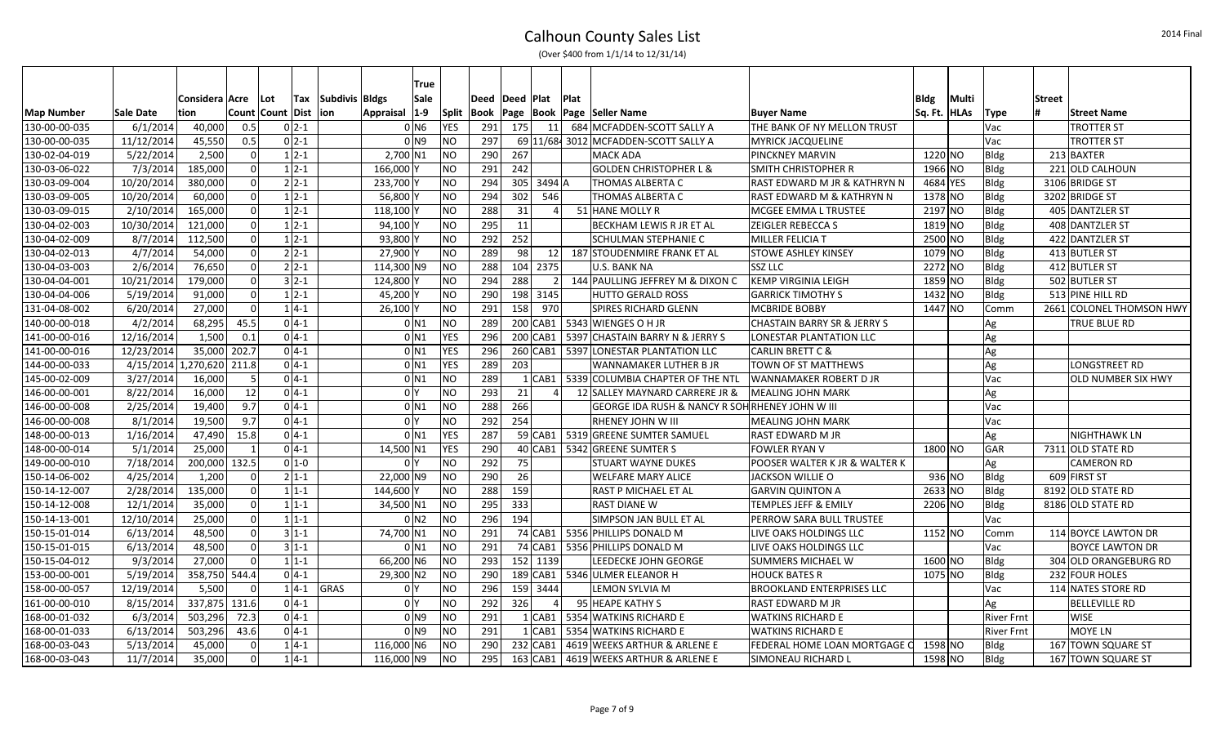|                   |                           |                  |                |                  |                    |                | True                |                |      |             |            |             |                                                            |                                        |             |             |                   |               |                          |
|-------------------|---------------------------|------------------|----------------|------------------|--------------------|----------------|---------------------|----------------|------|-------------|------------|-------------|------------------------------------------------------------|----------------------------------------|-------------|-------------|-------------------|---------------|--------------------------|
|                   |                           | Considera   Acre |                | Lot              | Tax                | Subdivis Bldgs | Sale                |                | Deed | Deed   Plat |            | <b>Plat</b> |                                                            |                                        | <b>Bldg</b> | Multi       |                   | <b>Street</b> |                          |
| <b>Map Number</b> | <b>Sale Date</b>          | tion             |                | Count Count Dist |                    | lion.          | Appraisal 1-9       | Split          | Book | Page  Book  |            |             | <b>Page Seller Name</b>                                    | <b>Buyer Name</b>                      | Sq. Ft.     | <b>HLAs</b> | <b>Type</b>       |               | <b>Street Name</b>       |
| 130-00-00-035     | 6/1/2014                  | 40,000           | 0.5            |                  | $0 2-1$            |                | 0 N6                | <b>YES</b>     | 291  | 175         | 11         |             | 684 MCFADDEN-SCOTT SALLY A                                 | THE BANK OF NY MELLON TRUST            |             |             | Vac               |               | <b>TROTTER ST</b>        |
| 130-00-00-035     | 11/12/2014                | 45,550           | 0.5            |                  | $02-1$             |                | 0 <sub>1</sub>      | NO.            | 297  |             |            |             | 69 11/68 3012 MCFADDEN-SCOTT SALLY A                       | <b>MYRICK JACQUELINE</b>               |             |             | Vac               |               | <b>TROTTER ST</b>        |
| 130-02-04-019     | 5/22/2014                 | 2,500            | $\Omega$       |                  | $1 2-1$            |                | 2,700 N1            | NO.            | 290  | 267         |            |             | <b>MACK ADA</b>                                            | <b>PINCKNEY MARVIN</b>                 | 1220 NO     |             | Bldg              |               | 213 BAXTER               |
| 130-03-06-022     | 7/3/2014                  | 185,000          | $\Omega$       |                  | $1 \overline{2-1}$ |                | $166,000$ Y         | <b>NO</b>      | 291  | 242         |            |             | <b>GOLDEN CHRISTOPHER L &amp;</b>                          | <b>SMITH CHRISTOPHER R</b>             | 1966 NO     |             | <b>Bldg</b>       |               | 221 OLD CALHOUN          |
| 130-03-09-004     | 10/20/2014                | 380,000          | $\Omega$       |                  | $2 2-1 $           |                | 233,700 Y           | NO.            | 294  |             | 305 3494 A |             | <b>THOMAS ALBERTA C</b>                                    | RAST EDWARD M JR & KATHRYN N           | 4684 YES    |             | <b>Bldg</b>       |               | 3106 BRIDGE ST           |
| 130-03-09-005     | 10/20/2014                | 60,000           | $\Omega$       |                  | $1 \overline{2-1}$ |                | 56,800 Y            | NO.            | 294  | 302         | 546        |             | <b>THOMAS ALBERTA C</b>                                    | RAST EDWARD M & KATHRYN N              | 1378 NO     |             | <b>Bldg</b>       |               | 3202 BRIDGE ST           |
| 130-03-09-015     | 2/10/2014                 | 165,000          | $\Omega$       |                  | $1 \overline{2-1}$ |                | 118,100             | <b>NO</b>      | 288  | 31          |            |             | 51 HANE MOLLY R                                            | MCGEE EMMA L TRUSTEE                   | 2197 NO     |             | <b>Bldg</b>       |               | 405 DANTZLER ST          |
| 130-04-02-003     | 10/30/2014                | 121,000          | $\overline{0}$ |                  | $1 2-1$            |                | 94,100Y             | <b>NO</b>      | 295  | 11          |            |             | <b>BECKHAM LEWIS R JR ET AL</b>                            | <b>ZEIGLER REBECCA S</b>               | $1819$ NO   |             | <b>Bldg</b>       |               | 408 DANTZLER ST          |
| 130-04-02-009     | 8/7/2014                  | 112,500          | $\Omega$       |                  | $1 2-1$            |                | 93,800 Y            | <b>NO</b>      | 292  | 252         |            |             | <b>SCHULMAN STEPHANIE C</b>                                | <b>MILLER FELICIA T</b>                | 2500 NO     |             | Bldg              |               | 422 DANTZLER ST          |
| 130-04-02-013     | 4/7/2014                  | 54,000           | $\Omega$       |                  | $2 2-1 $           |                | 27,900 Y            | <b>NO</b>      | 289  | 98          | 12         |             | 187 STOUDENMIRE FRANK ET AL                                | <b>STOWE ASHLEY KINSEY</b>             | 1079 NO     |             | Bldg              |               | 413 BUTLER ST            |
| 130-04-03-003     | 2/6/2014                  | 76,650           | $\Omega$       |                  | $2 2-1 $           |                | 114,300 N9          | <b>NO</b>      | 288  |             | 104 2375   |             | U.S. BANK NA                                               | <b>SSZ LLC</b>                         | 2272 NO     |             | Bldg              |               | 412 BUTLER ST            |
| 130-04-04-001     | 10/21/2014                | 179,000          | $\Omega$       |                  | $3 2-1$            |                | 124,800 Y           | <b>NO</b>      | 294  | 288         |            |             | 144 PAULLING JEFFREY M & DIXON C                           | <b>KEMP VIRGINIA LEIGH</b>             | 1859 NO     |             | Bldg              |               | 502 BUTLER ST            |
| 130-04-04-006     | 5/19/2014                 | 91,000           | $\Omega$       |                  | $1 2-1$            |                | 45,200 Y            | NO.            | 290  |             | 198 3145   |             | <b>HUTTO GERALD ROSS</b>                                   | <b>GARRICK TIMOTHY S</b>               | 1432 NO     |             | Bldg              |               | 513 PINE HILL RD         |
| 131-04-08-002     | 6/20/2014                 | 27,000           | $\overline{0}$ |                  | $1 4-1 $           |                | $26,100$ Y          | <b>NO</b>      | 291  | 158         | 970        |             | <b>SPIRES RICHARD GLENN</b>                                | <b>MCBRIDE BOBBY</b>                   | 1447 NO     |             | Comm              |               | 2661 COLONEL THOMSON HWY |
| 140-00-00-018     | 4/2/2014                  | 68,295           | 45.5           |                  | $0 4-1 $           |                | 0 N1                | N <sub>O</sub> | 289  |             | $200$ CAB1 |             | 5343 WIENGES O H JR                                        | <b>CHASTAIN BARRY SR &amp; JERRY S</b> |             |             | Ag                |               | TRUE BLUE RD             |
| 141-00-00-016     | 12/16/2014                | 1,500            | 0.1            |                  | $0 4-1$            |                | $0$ N1              | <b>YES</b>     | 296  |             | 200 CAB1   |             | 5397 CHASTAIN BARRY N & JERRY S                            | LONESTAR PLANTATION LLC                |             |             | Ag                |               |                          |
| 141-00-00-016     | 12/23/2014                | 35,000           | 202.7          |                  | $0 4-1 $           |                | 0 <sub>N1</sub>     | <b>YES</b>     | 296  |             | 260 CAB1   |             | 5397 LONESTAR PLANTATION LLC                               | <b>CARLIN BRETT C &amp;</b>            |             |             | Ag                |               |                          |
| 144-00-00-033     | 4/15/2014 1,270,620 211.8 |                  |                |                  | $0 4-1 $           |                | 0 <sub>N1</sub>     | <b>YES</b>     | 289  | 203         |            |             | WANNAMAKER LUTHER B JR                                     | <b>TOWN OF ST MATTHEWS</b>             |             |             | Ag                |               | LONGSTREET RD            |
| 145-00-02-009     | 3/27/2014                 | 16,000           | -5             |                  | $0 4-1$            |                | 0 <sub>N1</sub>     | <b>NO</b>      | 289  |             | $1 $ CAB1  |             | 5339 COLUMBIA CHAPTER OF THE NTL                           | <b>WANNAMAKER ROBERT D JR</b>          |             |             | Vac               |               | OLD NUMBER SIX HWY       |
| 146-00-00-001     | 8/22/2014                 | 16,000           | 12             |                  | $0 4-1$            |                | 0 <sup>N</sup>      | N <sub>O</sub> | 293  | 21          |            |             | 12 SALLEY MAYNARD CARRERE JR &                             | <b>MEALING JOHN MARK</b>               |             |             | Ag                |               |                          |
| 146-00-00-008     | 2/25/2014                 | 19,400           | 9.7            |                  | $0 4-1 $           |                | $0$ <sub>N1</sub>   | N <sub>O</sub> | 288  | 266         |            |             | <b>GEORGE IDA RUSH &amp; NANCY R SOH RHENEY JOHN W III</b> |                                        |             |             | Vac               |               |                          |
| 146-00-00-008     | 8/1/2014                  | 19,500           | 9.7            |                  | $0 4-1 $           |                | 0 <sup>1</sup>      | <b>NO</b>      | 292  | 254         |            |             | <b>RHENEY JOHN W III</b>                                   | <b>MEALING JOHN MARK</b>               |             |             | Vac               |               |                          |
| 148-00-00-013     | 1/16/2014                 | 47,490           | 15.8           |                  | $0 4-1$            |                | $0$ <sub>N1</sub>   | <b>YES</b>     | 287  |             | $59$ CAB1  |             | 5319 GREENE SUMTER SAMUEL                                  | <b>RAST EDWARD M JR</b>                |             |             | Ag                |               | NIGHTHAWK LN             |
| 148-00-00-014     | 5/1/2014                  | 25,000           | $\mathbf{1}$   |                  | $0 4-1$            |                | 14,500 N1           | <b>YES</b>     | 290  |             |            |             | 40 CAB1   5342 GREENE SUMTER S                             | <b>FOWLER RYAN V</b>                   | 1800 NO     |             | GAR               |               | 7311 OLD STATE RD        |
| 149-00-00-010     | 7/18/2014                 | 200,000          | 132.5          |                  | $0 1-0$            |                | 0 <sup>N</sup>      | <b>NO</b>      | 292  | 75          |            |             | <b>STUART WAYNE DUKES</b>                                  | POOSER WALTER K JR & WALTER K          |             |             | Ag                |               | <b>CAMERON RD</b>        |
| 150-14-06-002     | 4/25/2014                 | 1,200            | $\Omega$       |                  | $2 1-1 $           |                | 22,000 N9           | <b>NO</b>      | 290  | 26          |            |             | <b>WELFARE MARY ALICE</b>                                  | JACKSON WILLIE O                       | $936$ NO    |             | Bldg              |               | 609 FIRST ST             |
| 150-14-12-007     | 2/28/2014                 | 135,000          | $\Omega$       |                  | $11-1$             |                | 144,600 Y           | N <sub>O</sub> | 288  | 159         |            |             | <b>RAST P MICHAEL ET AL</b>                                | <b>GARVIN QUINTON A</b>                | $2633$ NO   |             | Bldg              |               | 8192 OLD STATE RD        |
| 150-14-12-008     | 12/1/2014                 | 35,000           | $\Omega$       |                  | $1 1-1$            |                | 34,500 N1           | <b>NO</b>      | 295  | 333         |            |             | <b>RAST DIANE W</b>                                        | <b>TEMPLES JEFF &amp; EMILY</b>        | 2206 NO     |             | Bldg              |               | 8186 OLD STATE RD        |
| 150-14-13-001     | 12/10/2014                | 25,000           | $\Omega$       |                  | $1 1-1$            |                | 0 N2                | NO             | 296  | 194         |            |             | <b>SIMPSON JAN BULL ET AL</b>                              | PERROW SARA BULL TRUSTEE               |             |             | Vac               |               |                          |
| 150-15-01-014     | 6/13/2014                 | 48,500           | $\Omega$       |                  | $3 1-1 $           |                | 74,700 N1           | <b>NO</b>      | 291  |             | 74 CAB1    |             | 5356 PHILLIPS DONALD M                                     | LIVE OAKS HOLDINGS LLC                 | $1152$ NO   |             | Comm              |               | 114 BOYCE LAWTON DR      |
| 150-15-01-015     | 6/13/2014                 | 48,500           | $\Omega$       |                  | $3 1-1$            |                | 0 N1                | N <sub>O</sub> | 291  |             | 74 CAB1    |             | 5356 PHILLIPS DONALD M                                     | LIVE OAKS HOLDINGS LLC                 |             |             | Vac               |               | <b>BOYCE LAWTON DR</b>   |
| 150-15-04-012     | 9/3/2014                  | 27,000           | $\Omega$       |                  | $1 1-1$            |                | 66,200 N6           | NO             | 293  |             | 152 1139   |             | LEEDECKE JOHN GEORGE                                       | <b>SUMMERS MICHAEL W</b>               | 1600 NO     |             | Bldg              |               | 304 OLD ORANGEBURG RD    |
| 153-00-00-001     | 5/19/2014                 | 358,750 544.4    |                |                  | $0 4-1$            |                | 29,300 N2           | <b>NO</b>      | 290  |             | 189 CAB1   |             | 5346 ULMER ELEANOR H                                       | <b>HOUCK BATES R</b>                   | 1075 NO     |             | Bldg              |               | 232 FOUR HOLES           |
| 158-00-00-057     | 12/19/2014                | 5,500            | $\Omega$       |                  | $14-1$             | GRAS           | 0 <sup>1</sup>      | NO.            | 296  |             | 159 3444   |             | LEMON SYLVIA M                                             | <b>BROOKLAND ENTERPRISES LLC</b>       |             |             | Vac               |               | 114 NATES STORE RD       |
| 161-00-00-010     | 8/15/2014                 | 337,875 131.6    |                |                  | $0 4-1$            |                | 0 <sup>1</sup>      | <b>NO</b>      | 292  | 326         |            |             | 95 HEAPE KATHY S                                           | <b>RAST EDWARD M JR</b>                |             |             | Ag                |               | <b>BELLEVILLE RD</b>     |
| 168-00-01-032     | 6/3/2014                  | 503,296          | 72.3           |                  | $0 4-1$            |                | $01$ N <sub>9</sub> | <b>NO</b>      | 291  |             | $1$ CAB1   |             | 5354 WATKINS RICHARD E                                     | <b>WATKINS RICHARD E</b>               |             |             | <b>River Frnt</b> |               | <b>WISE</b>              |
| 168-00-01-033     | 6/13/2014                 | 503,296          | 43.6           |                  | $0 4-1 $           |                | $01$ <sub>N9</sub>  | N <sub>O</sub> | 291  |             | $1$ CAB1   |             | 5354 WATKINS RICHARD E                                     | <b>WATKINS RICHARD E</b>               |             |             | <b>River Frnt</b> |               | MOYE LN                  |
| 168-00-03-043     | 5/13/2014                 | 45,000           | $\Omega$       |                  | $1 4-1$            |                | 116,000 N6          | <b>NO</b>      | 290  |             | 232 CAB1   |             | 4619 WEEKS ARTHUR & ARLENE E                               | FEDERAL HOME LOAN MORTGAGE C           | 1598 NO     |             | Bldg              |               | 167 TOWN SQUARE ST       |
| 168-00-03-043     | 11/7/2014                 | 35,000           | $\Omega$       |                  | $1 4-1$            |                | 116,000 N9          | <b>NO</b>      | 295  |             | $163$ CAB1 |             | 4619 WEEKS ARTHUR & ARLENE E                               | <b>SIMONEAU RICHARD L</b>              | 1598 NO     |             | Bldg              |               | 167 TOWN SQUARE ST       |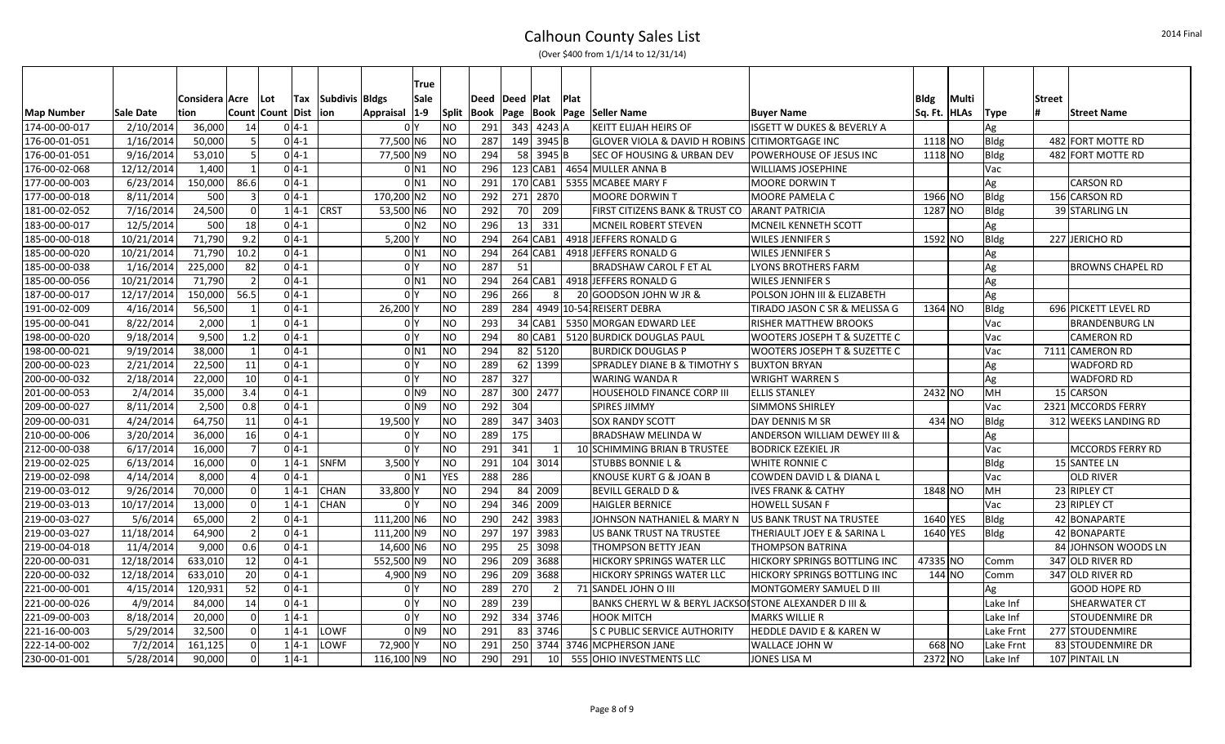|  | (Over \$400 from 1/1/14 to 12/31/14) |
|--|--------------------------------------|
|--|--------------------------------------|

|                   |            |                  |                |                      |            |                |                | True               |            |                    |     |                 |             |                                                           |                                     |      |               |             |        |                         |
|-------------------|------------|------------------|----------------|----------------------|------------|----------------|----------------|--------------------|------------|--------------------|-----|-----------------|-------------|-----------------------------------------------------------|-------------------------------------|------|---------------|-------------|--------|-------------------------|
|                   |            | Considera   Acre |                | ∣Lot                 | <b>Tax</b> | Subdivis Bldgs |                | Sale               |            | Deed   Deed   Plat |     |                 | <b>Plat</b> |                                                           |                                     | Bldg | Multi         |             | Street |                         |
| <b>Map Number</b> | Sale Date  | tion             |                | Count   Count   Dist |            | lion           | Appraisal      | $ 1-9 $            | Split      | Book               |     |                 |             | Page   Book   Page   Seller Name                          | <b>Buyer Name</b>                   |      | Sq. Ft.  HLAs | <b>Type</b> |        | <b>Street Name</b>      |
| 174-00-00-017     | 2/10/2014  | 36,000           | 14             |                      | $0 4-1$    |                | 0 Y            |                    | NO         | 291                |     | 343 4243 A      |             | <b>KEITT ELIJAH HEIRS OF</b>                              | ISGETT W DUKES & BEVERLY A          |      |               | Ag          |        |                         |
| 176-00-01-051     | 1/16/2014  | 50,000           | 5              |                      | $04-1$     |                | 77,500 N6      |                    | ΝO         | 287                |     | 149 3945 B      |             | <b>GLOVER VIOLA &amp; DAVID H ROBINS CITIMORTGAGE INC</b> |                                     |      | 1118 NO       | <b>Bldg</b> |        | 482 FORT MOTTE RD       |
| 176-00-01-051     | 9/16/2014  | 53,010           | 5              |                      | $0 4-1$    |                | 77,500 N9      |                    | <b>NO</b>  | 294                |     | 58 3945 B       |             | <b>SEC OF HOUSING &amp; URBAN DEV</b>                     | POWERHOUSE OF JESUS INC             |      | 1118 NO       | Bldg        |        | 482 FORT MOTTE RD       |
| 176-00-02-068     | 12/12/2014 | 1,400            | $\mathbf{1}$   |                      | $0 4-1$    |                |                | $0$ N1             | <b>NO</b>  | 296                |     |                 |             | 123 CAB1   4654 MULLER ANNA B                             | <b>WILLIAMS JOSEPHINE</b>           |      |               | Vac         |        |                         |
| 177-00-00-003     | 6/23/2014  | 150,000          | 86.6           |                      | $0 4-1$    |                |                | $0$ N1             | <b>NO</b>  | 291                |     | 170 CAB1        |             | 5355 MCABEE MARY F                                        | <b>MOORE DORWIN T</b>               |      |               | Ag          |        | <b>CARSON RD</b>        |
| 177-00-00-018     | 8/11/2014  | 500              | $\overline{3}$ |                      | $0 4-1$    |                | 170,200 N2     |                    | NO         | 292                |     | 271 2870        |             | <b>MOORE DORWINT</b>                                      | MOORE PAMELA C                      |      | 1966 NO       | <b>Bldg</b> |        | 156 CARSON RD           |
| 181-00-02-052     | 7/16/2014  | 24,500           | $\overline{0}$ |                      | $1 4-1$    | <b>CRST</b>    | 53,500 N6      |                    | <b>NO</b>  | 292                | 70  | 209             |             | FIRST CITIZENS BANK & TRUST CO                            | <b>ARANT PATRICIA</b>               |      | 1287 NO       | <b>Bldg</b> |        | 39 STARLING LN          |
| 183-00-00-017     | 12/5/2014  | 500              | 18             |                      | $0 4-1$    |                |                | 0 N2               | <b>NO</b>  | 296                | 13  | 331             |             | <b>MCNEIL ROBERT STEVEN</b>                               | MCNEIL KENNETH SCOTT                |      |               | Ag          |        |                         |
| 185-00-00-018     | 10/21/2014 | 71,790           | 9.2            |                      | $0 4-1$    |                | 5,200          |                    | <b>NO</b>  | 294                |     |                 |             | 264 CAB1   4918 JEFFERS RONALD G                          | <b>WILES JENNIFER S</b>             |      | 1592 NO       | <b>Bldg</b> |        | 227 JERICHO RD          |
| 185-00-00-020     | 10/21/2014 | 71,790           | 10.2           |                      | $0 4-1$    |                |                | 0 N 1              | <b>NO</b>  | 294                |     | 264 CAB1        |             | 4918 JEFFERS RONALD G                                     | <b>WILES JENNIFER S</b>             |      |               | Ag          |        |                         |
| 185-00-00-038     | 1/16/2014  | 225,000          | 82             |                      | $0 4-1$    |                | 0 Y            |                    | <b>NO</b>  | 287                | 51  |                 |             | <b>BRADSHAW CAROL F ET AL</b>                             | LYONS BROTHERS FARM                 |      |               | Ag          |        | <b>BROWNS CHAPEL RD</b> |
| 185-00-00-056     | 10/21/2014 | 71,790           | $\overline{2}$ |                      | $0 4-1$    |                |                | $0$ N <sub>1</sub> | <b>NO</b>  | 294                |     | 264 CAB1        |             | 4918 JEFFERS RONALD G                                     | <b>WILES JENNIFER S</b>             |      |               | Ag          |        |                         |
| 187-00-00-017     | 12/17/2014 | 150,000          | 56.5           |                      | $0 4-1$    |                | 0 I Y          |                    | <b>NO</b>  | 296                | 266 | 8 <sup>1</sup>  |             | 20 GOODSON JOHN W JR &                                    | POLSON JOHN III & ELIZABETH         |      |               | Ag          |        |                         |
| 191-00-02-009     | 4/16/2014  | 56,500           | 1              |                      | $0 4-1$    |                | 26,200         |                    | <b>NO</b>  | 289                |     |                 |             | 284 4949 10-54 REISERT DEBRA                              | TIRADO JASON C SR & MELISSA G       |      | 1364 NO       | <b>Bldg</b> |        | 696 PICKETT LEVEL RD    |
| 195-00-00-041     | 8/22/2014  | 2,000            | $\mathbf{1}$   |                      | $0 4-1$    |                | 0 <sup>1</sup> |                    | <b>NO</b>  | 293                |     |                 |             | 34 CAB1   5350 MORGAN EDWARD LEE                          | <b>RISHER MATTHEW BROOKS</b>        |      |               | Vac         |        | <b>BRANDENBURG LN</b>   |
| 198-00-00-020     | 9/18/2014  | 9,500            | 1.2            |                      | $0 4-1$    |                | 0 <sup>N</sup> |                    | <b>NO</b>  | 294                |     | 80 CAB1         |             | 5120 BURDICK DOUGLAS PAUL                                 | WOOTERS JOSEPH T & SUZETTE C        |      |               | Vac         |        | <b>CAMERON RD</b>       |
| 198-00-00-021     | 9/19/2014  | 38,000           | $\mathbf{1}$   |                      | $0 4-1$    |                |                | $0$ N <sub>1</sub> | <b>NO</b>  | 294                |     | 82 5120         |             | <b>BURDICK DOUGLAS P</b>                                  | WOOTERS JOSEPH T & SUZETTE C        |      |               | Vac         |        | 7111 CAMERON RD         |
| 200-00-00-023     | 2/21/2014  | 22,500           | 11             |                      | $0 4-1$    |                | 0 Y            |                    | <b>NO</b>  | 289                |     | 62 1399         |             | SPRADLEY DIANE B & TIMOTHY S                              | <b>BUXTON BRYAN</b>                 |      |               | Ag          |        | <b>WADFORD RD</b>       |
| 200-00-00-032     | 2/18/2014  | 22,000           | 10             |                      | $0 4-1$    |                | 0 Y            |                    | <b>NO</b>  | 287                | 327 |                 |             | <b>WARING WANDA R</b>                                     | <b>WRIGHT WARREN S</b>              |      |               | Ag          |        | <b>WADFORD RD</b>       |
| 201-00-00-053     | 2/4/2014   | 35,000           | 3.4            |                      | $0 4-1$    |                |                | 0 N 9              | <b>NO</b>  | 287                |     | 300 2477        |             | <b>HOUSEHOLD FINANCE CORP III</b>                         | <b>ELLIS STANLEY</b>                |      | 2432 NO       | MН          |        | 15 CARSON               |
| 209-00-00-027     | 8/11/2014  | 2,500            | 0.8            |                      | $0 4-1$    |                |                | 0 N 9              | <b>NO</b>  | 292                | 304 |                 |             | <b>SPIRES JIMMY</b>                                       | <b>SIMMONS SHIRLEY</b>              |      |               | Vac         |        | 2321 MCCORDS FERRY      |
| 209-00-00-031     | 4/24/2014  | 64,750           | 11             |                      | $0 4-1$    |                | 19,500         |                    | <b>NO</b>  | 289                |     | 347 3403        |             | <b>SOX RANDY SCOTT</b>                                    | DAY DENNIS M SR                     |      | 434 NO        | <b>Bldg</b> |        | 312 WEEKS LANDING RD    |
| 210-00-00-006     | 3/20/2014  | 36,000           | 16             |                      | $0 4-1$    |                | 0 <sup>N</sup> |                    | <b>NO</b>  | 289                | 175 |                 |             | BRADSHAW MELINDA W                                        | ANDERSON WILLIAM DEWEY III &        |      |               | Ag          |        |                         |
| 212-00-00-038     | 6/17/2014  | 16,000           | $\overline{7}$ |                      | $04-1$     |                | 0 I Y          |                    | NO.        | 291                | 341 |                 |             | 10 SCHIMMING BRIAN B TRUSTEE                              | <b>BODRICK EZEKIEL JR</b>           |      |               | Vac         |        | <b>MCCORDS FERRY RD</b> |
| 219-00-02-025     | 6/13/2014  | 16,000           | $\overline{0}$ |                      | $1 4-1$    | SNFM           | 3,500          |                    | <b>NO</b>  | 291                |     | 104 3014        |             | <b>STUBBS BONNIE L &amp;</b>                              | WHITE RONNIE C                      |      |               | <b>Bldg</b> |        | 15 SANTEE LN            |
| 219-00-02-098     | 4/14/2014  | 8,000            | $\overline{a}$ |                      | $0 4-1$    |                |                | $0$ N <sub>1</sub> | <b>YES</b> | 288                | 286 |                 |             | KNOUSE KURT G & JOAN B                                    | COWDEN DAVID L & DIANA L            |      |               | Vac         |        | OLD RIVER               |
| 219-00-03-012     | 9/26/2014  | 70,000           | $\overline{0}$ |                      | $1 4-1$    | <b>CHAN</b>    | 33,800 Y       |                    | <b>NO</b>  | 294                |     | 84 2009         |             | <b>BEVILL GERALD D &amp;</b>                              | <b>IVES FRANK &amp; CATHY</b>       |      | 1848 NO       | MН          |        | 23 RIPLEY CT            |
| 219-00-03-013     | 10/17/2014 | 13,000           | $\overline{0}$ |                      | $1 4-1$    | <b>CHAN</b>    | 0 Y            |                    | NO         | 294                |     | 346 2009        |             | <b>HAIGLER BERNICE</b>                                    | <b>HOWELL SUSAN F</b>               |      |               | Vac         |        | 23 RIPLEY CT            |
| 219-00-03-027     | 5/6/2014   | 65,000           | $\overline{2}$ |                      | $0 4-1$    |                | 111,200 N6     |                    | <b>NO</b>  | 290                |     | 242 3983        |             | JOHNSON NATHANIEL & MARY N                                | US BANK TRUST NA TRUSTEE            |      | 1640 YES      | <b>Bldg</b> |        | 42 BONAPARTE            |
| 219-00-03-027     | 11/18/2014 | 64,900           | $\overline{2}$ |                      | $0 4-1$    |                | 111,200 N9     |                    | NΟ         | 297                |     | 197 3983        |             | US BANK TRUST NA TRUSTEE                                  | THERIAULT JOEY E & SARINA L         |      | 1640 YES      | <b>Bldg</b> |        | 42 BONAPARTE            |
| 219-00-04-018     | 11/4/2014  | 9,000            | 0.6            |                      | $0 4-1$    |                | 14,600 N6      |                    | <b>NO</b>  | 295                |     | $25$ 3098       |             | THOMPSON BETTY JEAN                                       | <b>THOMPSON BATRINA</b>             |      |               |             |        | 84 JOHNSON WOODS LN     |
| 220-00-00-031     | 12/18/2014 | 633,010          | 12             |                      | $0 4-1$    |                | 552,500 N9     |                    | NO         | 296                |     | 209 3688        |             | <b>HICKORY SPRINGS WATER LLC</b>                          | <b>HICKORY SPRINGS BOTTLING INC</b> |      | 47335 NO      | Comm        |        | 347 OLD RIVER RD        |
| 220-00-00-032     | 12/18/2014 | 633,010          | 20             |                      | $0 4-1$    |                | 4,900 N9       |                    | <b>NO</b>  | 296                |     | 209 3688        |             | <b>HICKORY SPRINGS WATER LLC</b>                          | HICKORY SPRINGS BOTTLING INC        |      | $144$ NO      | Comm        |        | 347 OLD RIVER RD        |
| 221-00-00-001     | 4/15/2014  | 120,931          | 52             |                      | $0 4-1$    |                | 0 Y            |                    | <b>NO</b>  | 289                | 270 | $\mathcal{P}$   |             | 71 SANDEL JOHN O III                                      | MONTGOMERY SAMUEL D III             |      |               | Ag          |        | <b>GOOD HOPE RD</b>     |
| 221-00-00-026     | 4/9/2014   | 84,000           | 14             |                      | $0 4-1$    |                | 0 <sup>1</sup> |                    | <b>NO</b>  | 289                | 239 |                 |             | BANKS CHERYL W & BERYL JACKSOISTONE ALEXANDER D III &     |                                     |      |               | Lake Inf    |        | <b>SHEARWATER CT</b>    |
| 221-09-00-003     | 8/18/2014  | 20,000           | $\overline{0}$ |                      | $1 4-1$    |                | 0 Y            |                    | <b>NO</b>  | 292                |     | 334 3746        |             | <b>HOOK MITCH</b>                                         | <b>MARKS WILLIE R</b>               |      |               | Lake Inf    |        | <b>STOUDENMIRE DR</b>   |
| 221-16-00-003     | 5/29/2014  | 32,500           | $\overline{0}$ |                      | $1 4-1$    | LOWF           |                | 0 N 9              | <b>NO</b>  | 291                |     | 83 3746         |             | lS C PUBLIC SERVICE AUTHORITY                             | HEDDLE DAVID E & KAREN W            |      |               | Lake Frnt   |        | 277 STOUDENMIRE         |
| 222-14-00-002     | 7/2/2014   | 161,125          | $\overline{0}$ |                      | $1 4-1$    | LOWF           | 72,900         |                    | NO         | 291                |     |                 |             | 250 3744 3746 MCPHERSON JANE                              | WALLACE JOHN W                      |      | 668 NO        | Lake Frnt   |        | 83 STOUDENMIRE DR       |
| 230-00-01-001     | 5/28/2014  | 90,000           | $\overline{0}$ |                      | $1 4-1$    |                | 116,100 N9     |                    | <b>NO</b>  | 290                | 291 | 10 <sup>1</sup> |             | 555 OHIO INVESTMENTS LLC                                  | JONES LISA M                        |      | 2372 NO       | Lake Inf    |        | 107 PINTAIL LN          |